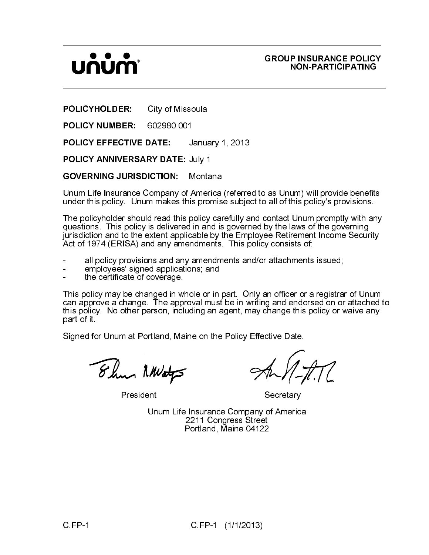Unum Life Insurance Company of America (referred to as Unum) will provide benefits under this policy. Unum makes this promise subject to all of this policy's provisions.

\_\_\_\_\_\_\_\_\_\_\_\_\_\_\_\_\_\_\_\_\_\_\_\_\_\_\_\_\_\_\_\_\_\_\_\_\_\_\_\_\_\_\_\_\_\_\_\_\_\_\_\_\_\_\_\_\_\_\_\_\_\_\_\_\_\_\_\_

\_\_\_\_\_\_\_\_\_\_\_\_\_\_\_\_\_\_\_\_\_\_\_\_\_\_\_\_\_\_\_\_\_\_\_\_\_\_\_\_\_\_\_\_\_\_\_\_\_\_\_\_\_\_\_\_\_\_\_\_\_\_\_\_\_\_\_\_\_

um) will provide benefits<br>
this policy's provisions.<br>
Unum promptly with any<br>
laws of the governing<br>
rement Income Security<br>
sts of:<br>
inments issued;<br>
er or a registrar of Unum<br>
endorsed on or attached<br>
this policy or waiv POLICYHOLDER: City of Missoula<br>
POLICY NUMBER: 602980 001<br>
POLICY EFFECTIVE DATE: Januar<br>
POLICY EFFECTIVE DATE: Januar<br>
POLICY ANNIVERSARY DATE: July 1<br>
GOVERNING JURISDICTION: Monta<br>
Unum Life Insurance Company of Amer<br> POLICY NUMBER: 602980 001<br>
POLICY EFFECTIVE DATE: Ja<br>
POLICY ANNIVERSARY DATE: Ju<br>
GOVERNING JURISDICTION: M<br>
Unum Life Insurance Company of A<br>
under this policy. Unum makes this<br>
The policyholder should read this policiti POLICY EFFECTIVE DATE: January 1, 2013<br>
POLICY ANNIVERSARY DATE: July 1<br>
GOVERNING JURISDICTION: Montana<br>
Unram Life Insurance Company of America (referre<br>
under this policy. Unum makes this primal geodernical (referre<br>
Th POLICY ANNIVERSARY DATE: July 1<br>
GOVERNING JURISDICTION: Montal<br>
Unum Life Insurance Company of Ameri-<br>
under this policy. Unum makes this pror<br>
The policyholder should read this policy<br>
ijurisdiction and to the extent app GOVERNING JURISDICTION: Montana<br>
Unum Life Insurance Company of America<br>
under this policy. Unum makes this points<br>
The policyholder should read this policy car<br>
questions. This policy is delivered in and is<br>
jurisdiction The policyholder should read this policy carefully and contact Unum promptly with any questions. This policy is delivered in and is governed by the laws of the governing jurisdiction and to the extent applicable by the Employee Retirement Income Security Act of 1974 (ERISA) and any amendments. This policy consists of:

- all policy provisions and any amendments and/or attachments issued;
- employees' signed applications; and
- the certificate of coverage.

GROUP INSURANCE POLICY<br>
POLICY HOLDER: City of Missoula<br>
POLICY NOM-PARTICIPATING<br>
POLICY NUMBER: 602980 001<br>
POLICY NUMBER: 602980 001<br>
POLICY ANNIVERSARY DATE: January 1, 2013<br>
POLICY ANNIVERSARY DATE: January 1, 2013<br>
G This policy may be changed in whole or in part. Only an officer or a registrar of Unum can approve a change. The approval must be in writing and endorsed on or attached to this policy. No other person, including an agent, may change this policy or waive any part of it.

Signed for Unum at Portland, Maine on the Policy Effective Date.

President Secretary

Unum Life Insurance Company of America 2211 Congress Street Portland, Maine 04122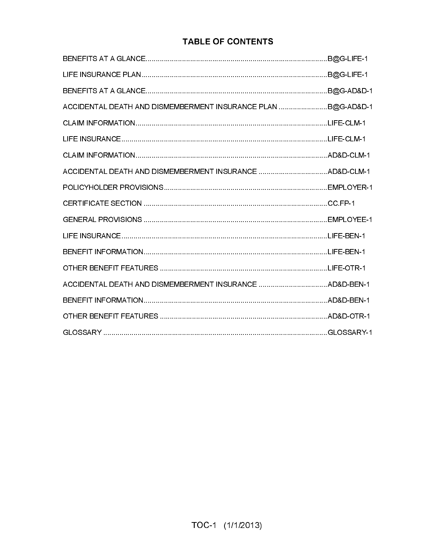### **TABLE OF CONTENTS**

| ACCIDENTAL DEATH AND DISMEMBERMENT INSURANCE PLAN  B@G-AD&D-1 |  |
|---------------------------------------------------------------|--|
|                                                               |  |
|                                                               |  |
|                                                               |  |
|                                                               |  |
|                                                               |  |
|                                                               |  |
|                                                               |  |
|                                                               |  |
|                                                               |  |
|                                                               |  |
|                                                               |  |
|                                                               |  |
|                                                               |  |
|                                                               |  |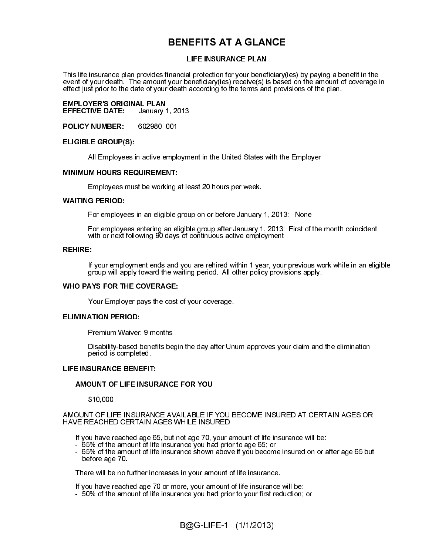### **BENEFITS AT A GLANCE**

LIFE INSURANCE PLAN<br>
inancial protection for your beneficiary<br>
your beneficiary(ies) receive(s) is base<br>
death according to the terms and provi<br>
1, 2013<br>
1, 2013<br>
1, 2013<br>
1, 2013<br>
1, 2013<br>
1, 2013<br>
1, 2013<br>
1, 2013<br>
1, 20 ר∈ FE FE P VF F P P This life insurance plan provides financial protection for your beneficiary(ies) by paying a benefit in the event of your death. The amount your beneficiary(ies) receive(s) is based on the amount of coverage in effect just prior to the date of your death according to the terms and provisions of the plan.

EE FE FLAT SE FLAT SE EMPLOYER'S ORIGINAL PLAN<br>EFFECTIVE DATE: January 1, 2013 **EFFECTIVE DATE:** 

POLICY NUMBER: 602980 001

### ELIGIBLE GROUP(S):

### MINIMUM HOURS REQUIREMENT:

Employees must be working at least 20 hours per week.

### WAITING PERIOD:

For employees in an eligible group on or before January 1, 2013: None

For employees entering an eligible group after January 1, 2013: First of the month coincident with or next following 90 days of continuous active employment

### REHIRE:

group will apply toward the waiting period. All other policy provisions apply.

### WHO PAYS FOR THE COVERAGE:

Disability-based benefits begin the day after Unum approves your claim and the elimination period is completed.

### LIFE INSURANCE BENEFIT:

 All Employees in active employment in the United States with the Employer<br>
MINIMUM HOURS REQUIREMENT:<br>
Employees must be working at least 20 hours per week.<br>
WAITING PERIOD:<br>
For employees in an eligible group on or before If you remployment ends and you are rehired within 1 year, your previous work while in an eligible<br>group will apply toward the watting period. All other policy provisions apply.<br>WHO PAYS FOR THE COVERAGE:<br>Your Employer pa Your Employer pays the cost of your coverage.<br>
ELIMINATION PERIOD:<br>
Premium Waiver: 9 months<br>
Disability-based benefits begin the day after Un<br>
period is completed.<br>
LIFE INSURANCE BENEFIT:<br>
AMOUNT OF LIFE INSURANCE FOR YO ELIMINATION PERIOD:<br>Premium Waiver:<br>Disability-based t<br>period is complet<br>LIFE INSURANCE BENE<br>AMOUNT OF LIFE INSU<br>\$10,000<br>AMOUNT OF LIFE INSU<br>HAVE REACHED CERT/<br>If you have reached a<br>- 65% of the amount<br>If you have reached Premium Waiver: 9 months<br>Disability-based benefits be<br>period is completed.<br>LIFE INSURANCE BENEFIT:<br>AMOUNT OF LIFE INSURANCE<br>\$10,000<br>AMOUNT OF LIFE INSURANCE A\<br>HAVE REACHED CERTAIN AGES<br>If you have reached age 65, but<br>- 65  $\frac{1}{2}$ AMOUNT OF LIFE INSURANCE FOR YOU<br>\$10,000<br>AMOUNT OF LIFE INSURANCE AVAILABLE IF<br>HAVE REACHED CERTAIN AGES WHILE INSU<br>If you have reached age 65, but not age 70, y<br>- 65% of the amount of life insurance you ha<br>- 65% of the am  $$10,000$ <br>AMOUNT OF LIF<br>HAVE REACHEI<br>If you have re<br> $-65\%$  of the<br> $-65\%$  of the<br>before age<br>There will be<br>If you have re<br> $-50\%$  of the  $\frac{1}{2}$ AMOUNT OF LIFE INSURANCE AVAILABLE IF YOU BECOME INSURED AT CERTAIN AGES OR HAVE REACHED CERTAIN AGES WHILE INSURED

- 65% of the amount of life insurance you had prior to age 65; or
- If you have reached age 65, but not age 70, your amount of life insurance will be:<br>  $-65%$  of the amount of life insurance you had prior to age 65; or<br>  $-65%$  of the amount of life insurance shown above if you become insu - 65% of the amount of life insurance shown above if you become insured on or after age 65 but before age 70.

There will be no further increases in your amount of life insurance.

If you have reached age 70 or more, your amount of life insurance will be:

- 50% of the amount of life insurance you had prior to your first reduction; or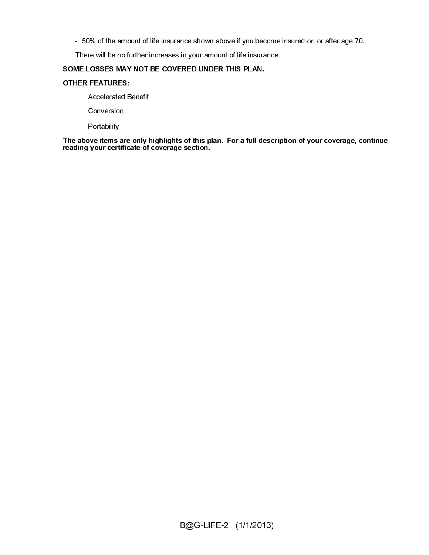- 50% of the amount of life insurance shown above if you become insured on or after age 70.

There will be no further increases in your amount of life insurance.

### SOME LOSSES MAY NOT BE COVERED UNDER THIS PLAN.

### OTHER FEATURES:

Accelerated Benefit

Conversion

Portability

s c<br>C<br>T Portability<br>The above items <sub>i</sub><br>reading your certi The above items are only highlights of this plan. For a full description of your coverage, continue reading your certificate of coverage section.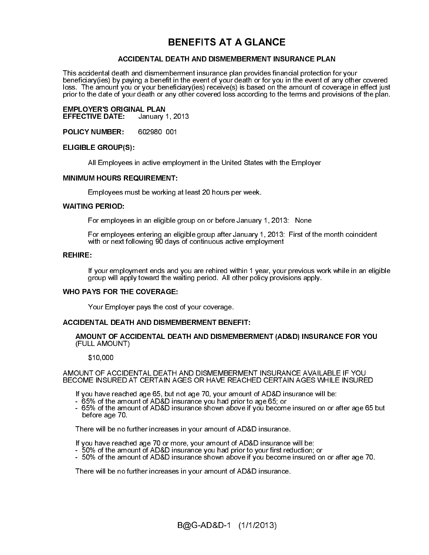### **BENEFITS AT A GLANCE**

 ACCIDENTAL DEATH AND DISMEMBERMENT INSURANCE PLAN<br>tart and dismemberment insurance plan provides financial protection<br>for you of you have benefit in the event of you and provide financial protection<br>of your death or any ot This accidental death and dismemberment insurance plan provides financial protection for your beneficiary(ies) by paying a benefit in the event of your death or for you in the event of any other covered loss. The amount you or your beneficiary(ies) receive(s) is based on the amount of coverage in effect just prior to the date of your death or any other covered loss according to the terms and provisions of the plan.

### **EMPLOYER'S ORIGINAL PLAN<br>EFFECTIVE DATE: January 1, 2013 EFFECTIVE DATE:**

POLICY NUMBER: 602980 001

### ELIGIBLE GROUP(S):

### MINIMUM HOURS REQUIREMENT:

Employees must be working at least 20 hours per week.

### WAITING PERIOD:

For employees in an eligible group on or before January 1, 2013: None

For employees entering an eligible group after January 1, 2013: First of the month coincident with or next following 90 days of continuous active employment

### REHIRE:

group will apply toward the waiting period. All other policy provisions apply.

### WHO PAYS FOR THE COVERAGE:

If you have method and you are relied within 1 year, your previous work while in an eligible<br>group will apply toward the walting period. All other policy provisions apply.<br>WHO PAYS FOR THE COVERAGE:<br>Your Employer pays the AMOUNT OF ACCIDENTAL DEATH AND DISMEMBERMENT (AD&D) INSURANCE FOR YOU (FULL AMOUNT)

 $$10,000$ 

EE FE FLAT SE FLAT SE FEE CAFE AS All Employees in active employment in the United States with the Employer<br>
Employees must be working at least 20 hours per week.<br>
WAITING PERIOD:<br>
For employees in an eligible group on or before January 1, 2013: None<br>
For r \<br> \<br> \<br> \ Your Employer pays the cost of your coverage.<br>
ACCIDENTAL DEATH AND DISMEMBERMENT BENE<br>
AMOUNT OF ACCIDENTAL DEATH AND DISMEMBEE<br>
(FULL AMOUNT)<br>
\$10,000<br>
AMOUNT OF ACCIDENTAL DEATH AND DISMEMBEE<br>
BECOME INSURED AT CERTAIN ACCIDENTAL DEATH AND DISMEMBERMENT BENEFIT:<br>
AMOUNT OF ACCIDENTAL DEATH AND DISMEMBER<br>
(FULL AMOUNT)<br>
\$10,000<br>
AMOUNT OF ACCIDENTAL DEATH AND DISMEMBERMEN<br>
BECOME INSURED AT CERTAIN AGES OR HAVE REACH<br>
If you have reached A<br>E<br>C AMOUNT OF ACCIDENTAL DEATH AND DISMEMBERMENT INSURANCE AVAILABLE IF YOU BECOME INSURED AT CERTAIN AGES OR HAVE REACHED CERTAIN AGES WHILE INSURED

If you have reached age 65, but not age 70, your amount of AD&D insurance will be:

- 65% of the amount of AD&D insurance you had prior to age 65; or
- 65% of the amount of AD&D insurance shown above if you become insured on or after age 65 but before age 70.

There will be no further increases in your amount of AD&D insurance.

If you have reached age 70 or more, your amount of AD&D insurance will be:

- 50% of the amount of AD&D insurance you had prior to your first reduction; or
- 50% of the amount of AD&D insurance shown above if you become insured on or after age 70.

There will be no further increases in your amount of AD&D insurance.

 $\mathcal{L}$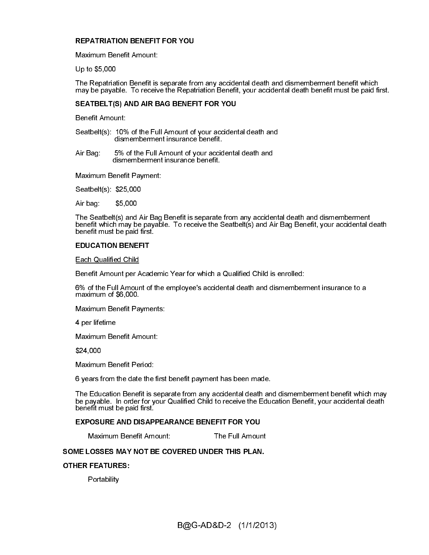### REPATRIATION BENEFIT FOR YOU

Maximum Benefit Amount:

Up to \$5,000

The Repatriation Benefit is separate from any accidental death and dismemberment benefit which may be payable. To receive the Repatriation Benefit, your accidental death benefit must be paid first.

### SEATBELT(S) AND AIR BAG BENEFIT FOR YOU

Benefit Amount:

Seatbelt(s): 10% of the Full Amount of your accidental death and dismemberment insurance benefit.

Air Bag: 5% of the Full Amount of your accidental death and dismemberment insurance benefit.

Seatbelt(s): \$25,000

Air bag: \$5,000

The Seatbelt(s) and Air Bag Benefit is separate from any accidental death and dismemberment benefit which may be payable. To receive the Seatbelt(s) and Air Bag Benefit, your accidental death benefit must be paid first.

### EDUCATION BENEFIT

Each Qualified Child

Benefit Amount per Academic Year for which a Qualified Child is enrolled:

6% of the Full Amount of the employee's accidental death and dismemberment insurance to a maximum of \$6,000.

Maximum Benefit Payments:

4 per lifetime

Maximum Benefit Amount:

\$24,000

Maximum Benefit Period:

6 years from the date the first benefit payment has been made.

Maximum Benefit Payment:<br>
Seatbelt(s): \$25,000<br>
Air bag: \$5,000<br>
The Seatbelt(s) and Air Bag<br>
benefit which may be payable<br>
benefit must be paid first.<br>
EDUCATION BENEFIT<br>
<u>Each Qualified Child</u><br>
Benefit Amount per Academ<br> The Education Benefit is separate from any accidental death and dismemberment benefit which may<br>be payable. In order for your Qualified Child to receive the Education Benefit, your accidental death<br>benefit must be paid fir The Education Benefit is separate from any accidental death and dismemberment benefit which may<br>be payable. In order for your Qualified Child to receive the Education Benefit, your accidental death benefit must be paid first.

### EXPOSURE AND DISAPPEARANCE BENEFIT FOR YOU

Maximum Benefit Amount: The Full Amount

### $\frac{1}{2}$ SOME LOSSES MAY NOT BE COVERED UNDER THIS PLAN.

### OTHER FEATURES:

**Portability**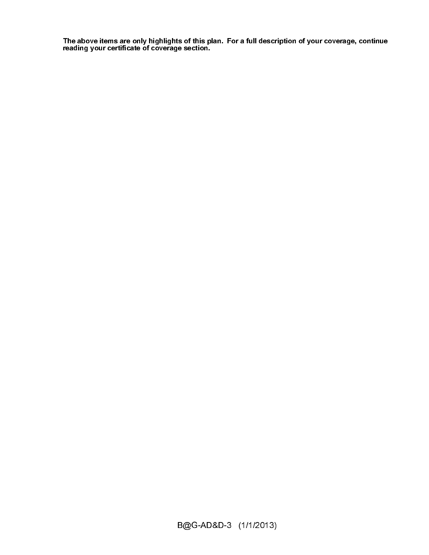r<br>r<br>F The above items are only highlights of this plan. For a full description of your coverage, continue reading your certificate of coverage section.

 $\mathcal{L}$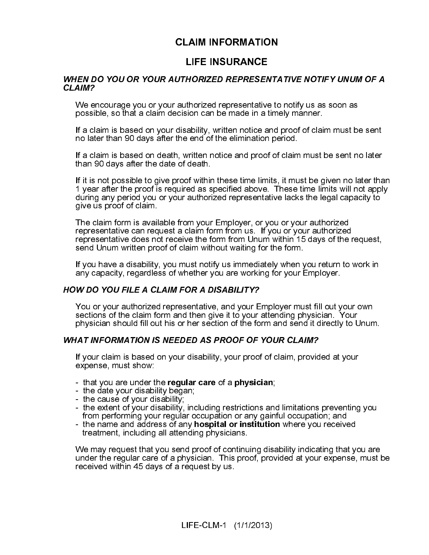### **CLAIM INFORMATION**

### $\begin{bmatrix} 1 \\ 1 \\ 2 \end{bmatrix}$

**LIFE INSURANCE**<br>
UTHORIZED REPRESENTA<br>
authorized representative to<br>
cision can be made in a time<br>
disability, written notice and<br>
the end of the elimination pe<br>
1, written notice and proof of<br>
of death.<br>
Iroof within the HORIZED REPRESEN<br>thorized representative<br>ison can be made in a t<br>ability, written notice an<br>end of the elimination<br>vritten notice and proof<br>death.<br>of within these time limi<br>authorized representat<br>authorized representat<br>aut CLAIM?<br>We encourage you or your authorized representative to notfy us as soon as<br>yosible, so that a claim decision can be made in a timely manner.<br>If a claim is based on your disability, written notice and proof of claim We en<br>
We en<br>
possil<br>
If a cla<br>
If a cla<br>
If a cla<br>
If a cla<br>
If a cla<br>
If a cla<br>
If yea<br>
Give L<br>
The c<br>
repres<br>
repres<br>
send<br>
If you<br>
any ca<br>
sectio<br>
physic<br>
WHAT IN<br>
If you<br>
sectio<br>
physic<br>
WHAT IN<br>
If you<br>
sectio<br>
physi possible so finar a calm decision can be made in a tmely manner.<br>If a claim is based on your disability, written motice and proof of claim must be<br>no later than 90 days after the end of the elimination period.<br>If a claim i if a claim is based on your disability, written notice and proof of claim and the station of the station of the elimination period.<br>If a claim is based on death, written notice and proof of claim must lf a claim is based o no later than 90 days after the end<sup>2</sup>d the simmation period<br>If a claim is based on desh, written rolice and proof of claim must be sent no later<br>than 90 days after the date, written rolice and proof of claim must be sent If a claim is based on death, written notice and proof of claim<br>than 90 days after the date of death.<br>This in on possible to give proof within these time limits, it must<br>after the proof is required as specified above. Thes It I- CS - rrs Ia T ヽsド ル Ie -- - \_ \lr than 90 days after the date of death.<br>
If it is not possible to give proof within these time limits, it must be given no later that it is not possible to give proof within these time limits will not apply the given the pro If it is not possible to give proof within'<br>If it is not possible to give proof within'<br>1 year after the proof is required as s<br>during any period you or your authori<br>give us proof of claim.<br>The claim form is available from |` c v ̄ rrs | v ̄ l ヽ s ド / l le ̄ ̄ ̄ ̄ ̄ ̄ \lr If year affelr the proof is required as specified above. These time limits will not apply<br>during any period you or your authorized representative lacks the legislate proof of claim.<br>The daim form is a wailable from your Em during any period you are visual to the proof is a specified above. The claim form is available from your Employer, or you or your authorized<br>representative can requise ta claim form is on the form from us. If you or your give us proof of claim.<br>The claim form is available from your Employer, or you or your authorized<br>The claim form is available from your Employer, or you or your authorized<br>representative does not receive the form from Uniu The claim form is avail<br>representative can req<br>representative does no<br>send Unum written pro<br>If you have a disability,<br>any capacity, regardles<br>**W DO YOU FILE A CL**<br>You or your authorized<br>sections of the claim fo<br>physician s - rrs |w 『 ヽ wド / 丨 w - - - - ̄ ̄ \ l r representative can request a claim form from usi. If you or your authorized<br>representative does not receive the form from Unum within 15 days of the<br>sentence and Unum written proof of claim without waiting for the form.<br>If

representative does not receive the form from Unum within 15 days of the resentation dom written proof of claim without waiting for the form.<br>If you nave a disability, you must notify us immediately when you return to<br>any If you have a disability, you must notify us immediately when yeny capacity, regardless of whether you are working for your E<br>
W DO YOU FILE A CLAIM FOR A DISABILITY?<br>
You or your authorized representative, and your Employ Ie l ヽsド ル le -- - \_ \lr If you consider the manner of the matter of the term of the control of the control of the claim form and then given in the physician should fill out his or her section of the form and send if lot vour and present and the p any **by the Solution of the CLAM FOR A DISABILITY?**<br>
Any DO YOU FILE A CLAIM FOR A DISABILITY?<br>
You are working the diam form and then give it to your attending physician. No<br>physician should fill out his or her section of

# 

- 
- 
- 
- 
- 

in the matter of a claim without waiting for the form from the form from the form of the farm can diverse that we can be written from the wave a disability, you must notify us immediately when you return to work in the WD You or your authorized representative, and your Exections of the claim form and then give it to your in physician should fill out his or her section of the fo<br>
WHAT INFORMATION IS NEEDED AS PROOF OF<br>
If your claim is based Sections of the claim form and then give it to your attending physician. Your implysiolan should fill out his or her section of the form and send it directly to Unum<br>
May also that the section of the form and send it direc sician should fill out his or her section of the form and send it directly to L<br>
IAT INFORMATION IS NEEDED AS PROOF OF YOUR CLAIM?<br>
If your claim is based on your disability, your proof of claim, provided at your<br>
- that y **EXECT THE SHOULD FILL ON STAND FOR SHOULD FILM AT INFORMATION IS NEEDED AS PROOF OF YOUR CLAIM?**<br>
If your claim, is based on your disability, your proof of claim, provided at your expense, must show:<br>
That you are under t If your claim is based on your disability, your proof of claim, providences, must show:<br>
The date your disability began;<br>
the date your disability;<br>
The cause of your disability;<br>
the cause of your disability;<br>
The extent Expense, must show:<br>
It also are under the **regular care** of a **physician**;<br>
It acts your disability,<br>
It acts of your disability;<br>
It acts of your disability, including restrictions and limitations preventing<br>
It are exte France, that you are under t<br>
- that you are under t<br>
- the date your disabi<br>
- the extent of your di<br>
from performing you<br>
- the name and addre<br>
treatment, including<br>
We may request that<br>
under the regular care<br>
received - the date your disability began;<br>
- the cause of your disability;<br>
- the extent of your disability;<br>
- the extent of your disability;<br>
- the nextent of your disability, including restrictions and<br>
- the name and address o - the cause of your disability;<br>the extent of your disability;<br>the extent of your disability, inc<br>from performing your regular of<br>the name and address of any r<br>treatment, including all attendir<br>We may request that you send - the extent of your disability,<br>from performing your regula<br>- the name and address of ar<br>treatment, including all atter<br>We may request that you send<br>under the regular care of a ph<br>received within 45 days of a received wit from performing your regular occupation or any gainful occupation; and<br>the name and address of any **hospital or institution** where you received<br>treatment, including all attending physicians.<br>We may request that you send pr from performance and address of any **hospital or institution** where you receive<br>treatment, including all attending physicians.<br>Ve may request that you send proof of continuing disability indicating that<br>doter the regular c treatment, including all attending physicians.<br>We may request that you send proof of continuing disability indicating that you sumder the regular care of a physician. This proof, provided at your expense,<br>received within 4 the may request that you send proof of continuate the regular care of a physician. This proceived within 45 days of a request by us.<br>LIFE-CLM-1 (1/1) under the regular care of a physician. This proof, provided at your expense, must k<br>received within 45 days of a request by us.<br>LIFE-CLM-1  $(1/1/2013)$ received within 45 days of a request by us.<br>LIFE-CLM-1 (1/1/2013)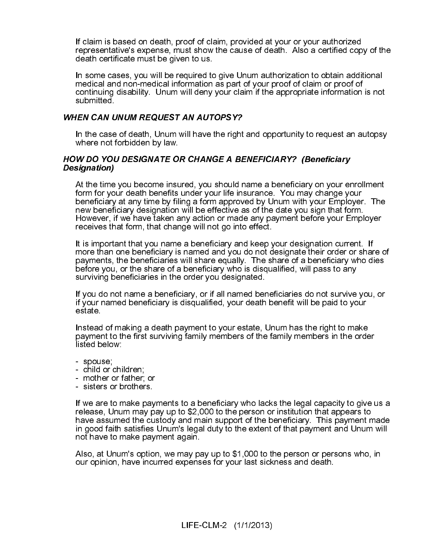If claim is based on death, proof of claim, provided at your or your authorized representative's expense, must show the cause of death. Also a certified copy of the<br>death certificate must be given to us.

In some cases, you will be required to give Unum authorization to obtain additional medical and non-medical information as part of your proof of claim or proof of continuing disability. Unum will deny your claim if the appropriate information is not submitted.

### WHEN CAN UNUM REQUEST AN AUTOPSY?

In the case of death, Unum will have the right and opportunity to request an autopsy where not forbidden by law.

## HOW DO YOU DESIGNATE OR CHANGE A BENEFICIARY? (Beneficiary Designation)

At the time you become insured, you should name a beneficiary on your enrollment form for your death benefits under your life insurance. You may change your beneficiary at any time by filing a form approved by Unum with your Employer. The new beneficiary designation will be effective as of the date you sign that form. However, if we have taken any action or made any payment before your Employer receives that form, that change will not go into effect.

It is important that you name a beneficiary and keep your designation current. If more than one beneficiary is named and you do not designate their order or share of payments, the beneficiaries will share equally. The share of a beneficiary who dies before you, or the share of a beneficiary who is disqualified, will pass to any surviving beneficiaries in the order you designated.

If you do not name a beneficiary, or if all named beneficiaries do not survive you, or if your named beneficiary is disqualified, your death benefit will be paid to your estate.

Instead of making a death payment to your estate, Unum has the right to make payment to the first surviving family members of the family members in the order listed below:

- spouse;
- child or children;
- mother or father; or
- sisters or brothers.

If we are to make payments to a beneficiary who lacks the legal capacity to give us a release, Unum may pay up to \$2,000 to the person or institution that appears to have assumed the custody and main support of the beneficiary. This payment made in good faith satisfies Unum's legal duty to the extent of that payment and Unum will not have to make payment again.

Also, at Unum's option, we may pay up to \$1,000 to the person or persons who, in our opinion, have incurred expenses for your last sickness and death.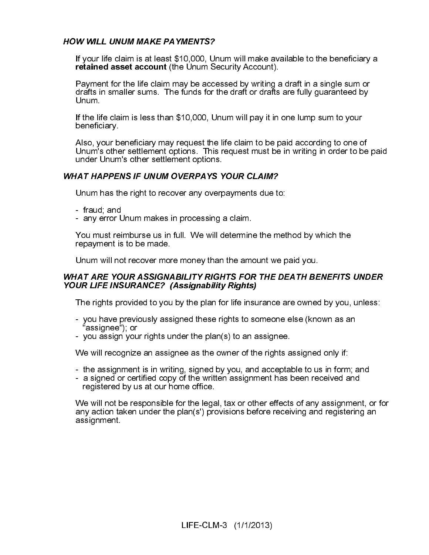### HOW WILL UNUM MAKE PAYMENTS?

If your life claim is at least \$10,000, Unum will make available to the beneficiary a retained asset account (the Unum Security Account).

Payment for the life claim may be accessed by writing a draft in a single sum or drafts in smaller sums. The funds for the draft or drafts are fully guaranteed by Unum.

If the life claim is less than \$10,000, Unum will pay it in one lump sum to your beneficiary.

Also, your beneficiary may request the life claim to be paid according to one of Unum's other settlement options. This request must be in writing in order to be paid under Unum's other settlement options.

### WHAT HAPPENS IF UNUM OVERPAYS YOUR CLAIM?

Unum has the right to recover any overpayments due to:

- fraud; and
- any error Unum makes in processing a claim.

You must reimburse us in full. We will determine the method by which the repayment is to be made.

Unum will not recover more money than the amount we paid you.

### WHAT ARE YOUR ASSIGNABILITY RIGHTS FOR THE DEATH BENEFITS UNDER YOUR LIFE INSURANCE? (Assignability Rights)

The rights provided to you by the plan for life insurance are owned by you, unless:

- you have previously assigned these rights to someone else (known as an "assignee"); or
- you assign your rights under the plan(s) to an assignee.

We will recognize an assignee as the owner of the rights assigned only if:

- the assignment is in writing, signed by you, and acceptable to us in form; and
- a signed or certified copy of the written assignment has been received and registered by us at our home office.

We will not be responsible for the legal, tax or other effects of any assignment, or for any action taken under the plan(s') provisions before receiving and registering an assignment.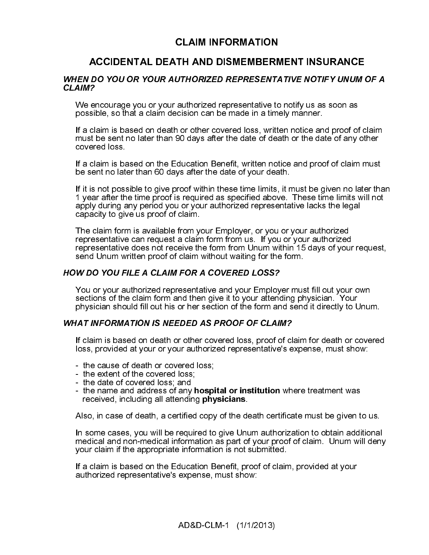### **CLAIM INFORMATION**

TH AND DISMEMBERN<br>
UTHORIZED REPRESENTA<br>
authorized representative to<br>
cision can be made in a time<br>
or or other covered loss, written<br>
90 days after the date of dea<br>
iducation Benefit, written not<br>
ys after the date of yo **PO YOU OR YOUR AUTHORIZED REPRESENTATIVE NOTIFY UNUM P<br>
The outrage you or your authorized representative to notify us as soon as<br>
sible, so that a claim decision can be made in a timely manner.<br>
Idam is based on death or** CLAIM?<br>We encourage you or your authorized representative to notfy us as soon as<br>yosible, so that a claim decision can be made in a timely manner.<br>If a claim is based on death or other covered loss, written notice and pro possible so that a calm decision can be made in a tmely manner, and first a calm is based on death or other covered loss, witten notice and proof of claim must be sent no claim to date in or other covered loss, witten noti If a claim is based on death or chter covered loss, written notice and several muss be seen tho lears that a claim is based on the Education Benefit, written notice and procovered loss.<br>If a claim is based on the Education must be sent to later than 90 days after the date of death or the date of any other<br>covered loss,<br>If a claim is based on the Education Benefit, written notice and proof of claim must<br>be sent to later than 60 days after the from the standard of the Education Benefit, written notice and proof of claim must<br>the stam is based on the Education Benefit, written notice and proof of claim must<br>be sent no later than 90 days after the date of your dea If a claim is ba<br>be sent no late<br>of it is not poss<br>1 year after the apply during a<br>capacity to give<br>The claim form<br>representative<br>representative<br>send Unum wi<br>**W DO YOU F**<br>You or your all sections of the<br>physician shol<br>**IAT** be sent no iater than 60 days after the date of your death.<br>If this not possible to give proof within these time limits, it finds to the given no later that is not possible to give proof within these time limits will not p If it is not possible to give proof within these time limits, it it year after the time proof is required as specified above.<br>The date of your and your or your authorized representation copapy during any period you or your

We er<br>
We er<br>
possil<br>
If a cla<br>
cover<br>
If a cla<br>
cover<br>
If a cla<br>
cover<br>
If a cla<br>
apply<br>
capac<br>
The c<br>
repres<br>
send<br>
HOW DC<br>
You o<br>
sectic<br>
physic<br>
WHAT IN<br>
If clail<br>
loss, I<br>
- the<br>
- the<br>
- the<br>
- the<br>
- the<br>
- the<br>
- t 1 year affect the time proof is required as specified above. These time limits will not<br>apply during any period you or your authorized representative lacks the logal<br>The claim form is available from your Employer, or you o specified winn any period you or your authorized representative lacks the legal<br>apply during any period you or your authorized representative lacks the legal<br>The claim form is available from your Employer, or you or your a capacity to give us proof of claim.<br>The claim form is available from your Employer, or you or your authorized<br>representative can request a claim form from us. If you or your authorized<br>representative can request a claim f Capacity of given a request a claim form is available from y<br>representative can request a claim<br>representative does not receive the<br>send Unum written proof of claim.<br>W DO YOU FILE A CLAIM FOR A<br>You or your authorized repre - rrw 1 ヽwド ル ll - - - ノ lrゝ le representative can request a claim form from usi. If you or your authorized<br>representative does not receive the form from Unum within 15 days of you<br>sent Unum written proof of claim without waiting for the form.<br>W DO YOU F

# 

# 

- 
- 
- 
- received, including all attending physicians.

Also, in case of death, a certified copy of the death certificate must be given to us.

representative does not receive the form from Unum within 15 days of your<br>send Unum written proof of claim without waiting for the form.<br>
WDO YOU FILE A CLAIM FOR A COVERED LOSS?<br>
You or your authorized representative and representative does not relation to the form and the form of the form of the form of the standard representative and your reprior per standard in the section of the form and the notice and your reflexion in the section of W DO YOU FILE A CLAIM FOR A COVERED LOSS?<br>
You ar your authorized representative and your Employer music sections of the claim form and then give it to your attending ph<br>
Sections of the claim form and then give it to your You or your authorized representative and your Employ<br>
You or your authorized representative and your Employ<br>
sections of the claim form and then give it to your attence<br>
physician should fill out his or her section of the Sections of the claim form and then give it to your attending physician. Your physician should fill out his or her section of the form and send it directly to Unumnum that the form and send in directly to Unumnum that the show the claim fill out his or her section of the form and send it directly to UNIT A COMPT AND INTO A SUPPED AS PROOF OF CLAIM?<br>
If claim is based on death or other covered loss, proof of claim for death or closs, provide **EXECT THE SECT THEON CONDUCT SHOULD FOR A SHOULD FOR SHOULD FOR SHOULD FOR SHOULD FOR SHOULD FOR SHOW THE SHOWLD FOR SHOW TO SHOW THE SHOW THOS SHOW THE SHOW THE SHOW THE SHOW THE SHOW THE SHOW THE SHOW THE SHOW THE SHOW** If claim is based on death or other covered loss, proof of clipss, provided at your or your authorized representative's e<br>
- the cause of death or covered loss;<br>
- the date of covered loss;<br>
- the date of covered loss;<br>
- Ioss, provided at your or your authorized representative's expense, must show:<br>
I the cause of death or covered loss;<br>
I the date of covered loss;<br>
I the date of covered loss;<br>
I the date of covered loss;<br>
I the name and a loss, provided at your or your authorized representative's expense, must show:<br>
- the extent of the covered loss;<br>
- the setent of the covered loss;<br>
- the setent of covered loss;<br>
- the date of covered loss; and<br>
- the da - the extent of the covered loss;<br>
- the extent of the covered loss;<br>
- the date of covered loss; and<br>
- the name and address of any **hospi**<br>
received, including all attending **phy**<br>
Also, in case of death, a certified cop - the date of covered loss; and<br>- the date of covered loss; and<br>- the name and address of any **r**<br>received, including all attending<br>Also, in case of death, a certified<br>In some cases, you will be requir<br>medical and non-medi - the name and address of any<br>received, including all attendin<br>Also, in case of death, a certifier<br>In some cases, you will be requendical and non-medical inform<br>your claim if the appropriate inform<br>If a claim is based on t - the name and address of any **hospital or institution** where treatment was received, including all attending **physicians**.<br>Also, in case of death, a certified copy of the death certificate must be given to the some cases, In some cases, you will be required to give Unum authorization to obtain additional medical and non-medical information as part of your proof of claim. Unum will deny your claim if the appropriate information is not submitted.

If a claim is based on the Education Benefit, proof of claim, provided at your authorized representative's expense, must show: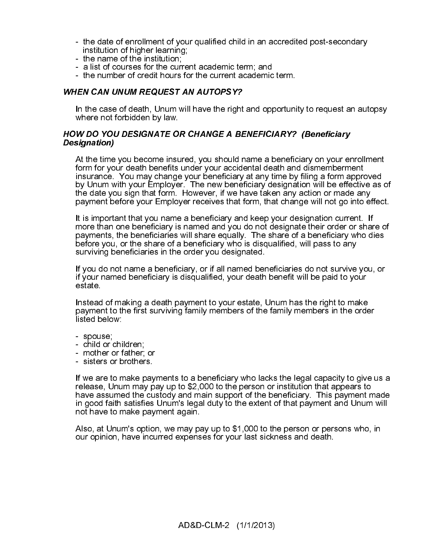- the date of enrollment of your qualified child in an accredited post-secondary institution of higher learning;
- the name of the institution;
- a list of courses for the current academic term; and
- the number of credit hours for the current academic term.

### WHEN CAN UNUM REQUEST AN AUTOPSY?

In the case of death, Unum will have the right and opportunity to request an autopsy where not forbidden by law.

### HOW DO YOU DESIGNATE OR CHANGE A BENEFICIARY? (Beneficiary Designation)

At the time you become insured, you should name a beneficiary on your enrollment form for your death benefits under your accidental death and dismemberment insurance. You may change your beneficiary at any time by filing a form approved by Unum with your Employer. The new beneficiary designation will be effective as of the date you sign that form. However, if we have taken any action or made any payment before your Employer receives that form, that change will not go into effect.

It is important that you name a beneficiary and keep your designation current. If more than one beneficiary is named and you do not designate their order or share of payments, the beneficiaries will share equally. The share of a beneficiary who dies before you, or the share of a beneficiary who is disqualified, will pass to any surviving beneficiaries in the order you designated.

If you do not name a beneficiary, or if all named beneficiaries do not survive you, or if your named beneficiary is disqualified, your death benefit will be paid to your estate.

Instead of making a death payment to your estate, Unum has the right to make payment to the first surviving family members of the family members in the order listed below:

- spouse;
- child or children;
- mother or father; or
- sisters or brothers.

If we are to make payments to a beneficiary who lacks the legal capacity to give us a release, Unum may pay up to \$2,000 to the person or institution that appears to have assumed the custody and main support of the beneficiary. This payment made in good faith satisfies Unum's legal duty to the extent of that payment and Unum will not have to make payment again.

Also, at Unum's option, we may pay up to \$1,000 to the person or persons who, in our opinion, have incurred expenses for your last sickness and death.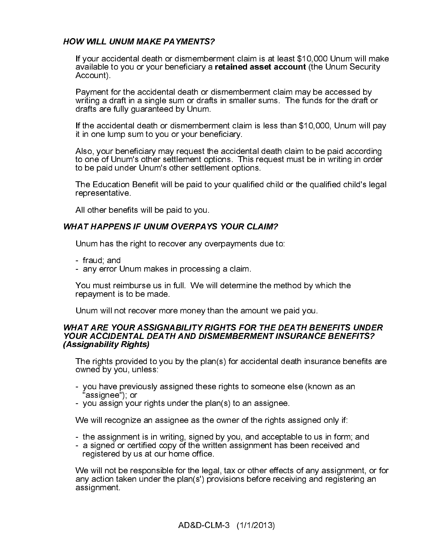### HOW WILL UNUM MAKE PAYMENTS?

If your accidental death or dismemberment claim is at least \$10,000 Unum will make available to you or your beneficiary a retained asset account (the Unum Security Account).

Payment for the accidental death or dismemberment claim may be accessed by writing a draft in a single sum or drafts in smaller sums. The funds for the draft or drafts are fully guaranteed by Unum.

If the accidental death or dismemberment claim is less than \$10,000, Unum will pay it in one lump sum to you or your beneficiary.

Also, your beneficiary may request the accidental death claim to be paid according to one of Unum's other settlement options. This request must be in writing in order to be paid under Unum's other settlement options.

The Education Benefit will be paid to your qualified child or the qualified child's legal representative.

All other benefits will be paid to you.

### WHAT HAPPENS IF UNUM OVERPAYS YOUR CLAIM?

Unum has the right to recover any overpayments due to:

- fraud; and
- any error Unum makes in processing a claim.

You must reimburse us in full. We will determine the method by which the repayment is to be made.

Unum will not recover more money than the amount we paid you.

### WHAT ARE YOUR ASSIGNABILITY RIGHTS FOR THE DEATH BENEFITS UNDER YOUR ACCIDENTAL DEATH AND DISMEMBERMENT INSURANCE BENEFITS? (Assignability Rights)

The rights provided to you by the plan(s) for accidental death insurance benefits are owned by you, unless:

- you have previously assigned these rights to someone else (known as an "assignee"); or
- you assign your rights under the plan(s) to an assignee.

We will recognize an assignee as the owner of the rights assigned only if:

- the assignment is in writing, signed by you, and acceptable to us in form; and
- a signed or certified copy of the written assignment has been received and registered by us at our home office.

We will not be responsible for the legal, tax or other effects of any assignment, or for any action taken under the plan(s') provisions before receiving and registering an assignment.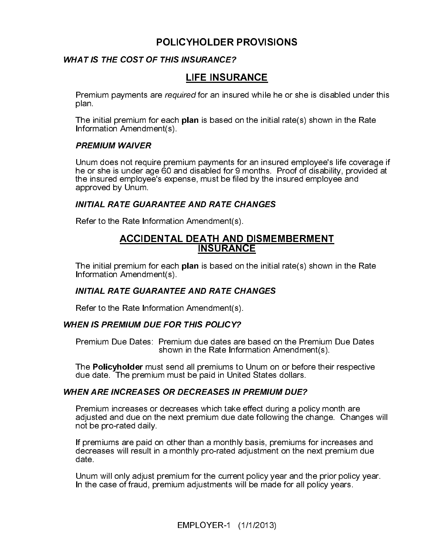### POLICYHOLDER PROVISIONS<br>WHAT IS THE COST OF THIS INSURANCE?

plan.<br>The initial premium for each **plan** is based on the initial rate(s) shown in the Rate<br>Information Amendment(s).

**LIFE INSUR**<br>
Premium payments are required for an insure<br>
plan.<br>
The initial premium for each plan is based c<br>
Information Amendment(s).<br> **PREMIUM WAIVER**<br>
Unum does not require premium payments the or she is under age 60 Noting the minimum payrimetric are required for an insured while he of site is disabled under this metalline premium for each plan is based on the initial rate(s) shown in the Rate<br>
Draftmation Amendment(s).<br>
Draftmation A Information Amendment(s).<br>
Information WAIVER<br>
Unum does not require premium payments for an insured employee's life coverage if<br>
the or she is under age 60 and disabled for 9 months. Proof of disability, provided at<br>
the he or she is under age 60 and disabled for 9 months. Proof of disability, provided at the insured employee's expense, must be filed by the insured employee and approved by Unum.

The initial premium for each **plan** is based on the initial rate(s) shown in the Rate Information Amendment(s).

Refer to the Rate Information Amendment(s).

### **WHEN IS PREMIUM DUE FOR THIS POLICY?**

Premium Due Dates: Premium due dates are based on the Premium Due Dates shown in the Rate Information Amendment(s).

The **Policyholder** must send all premiums to Unum on or before their respective<br>due date . The premium must be paid in United States dollars due date. The premium must be paid in United States dollars.

### **WHEN ARE INCREASES OR DECREASES IN PREMIUM DUE?**

approved by Unum.<br>
INITIAL RATE GUARANTEE AND RATE CHANGES<br>
Refer to the Rate Information Amendment(s).<br>
<u>ACCIDENTAL DEATH AND DISME</u><br>
The initial premium for each plan is based on the initia<br>
INSURANCE<br>
The initial premiu remium for each plan is based on the initial rate(s) shown in Amendment(s).<br>
TE GUARANTEE AND RATE CHANGES<br>
Rate Information Amendment(s).<br>
MIUM DUE FOR THIS POLICY?<br>
ue Dates: Premium due dates are based on the Premium is INITIAL RATE GUARANTEE AND RATE CHANGES<br>
Refer to the Rate Information Amendment(s).<br>
IEN IS PREMIUM DUE FOR THIS POLICY?<br>
Premium Due Dates: Premium due dates are based o<br>
shown in the Rate Information A<br>
The Policyholder Premium Due Dates: Premium due dates are<br>shown in the Rate Information<br>The Policyholder must send all premiums to<br>due date. The premium must be paid in Unite<br>WHEN ARE INCREASES OR DECREASES IN<br>Premium increases or decrease Premium increases or decreases which take effect during a poladjusted and due on the next premium due date following the c<br>not be pro-rated daily.<br>If premiums are paid on other than a monthly basis, premiums decreases will Premium increases or decreases which take effect during a policy month are adjusted and due on the next premium due date following the change. Changes will not be pro-rated daily.

If premiums are paid on other than a monthly basis, premiums for increases and decreases will result in a monthly pro-rated adjustment on the next premium due date.

Unum will only adjust premium for the current policy year and the prior policy year. In the case of fraud, premium adjustments will be made for all policy years.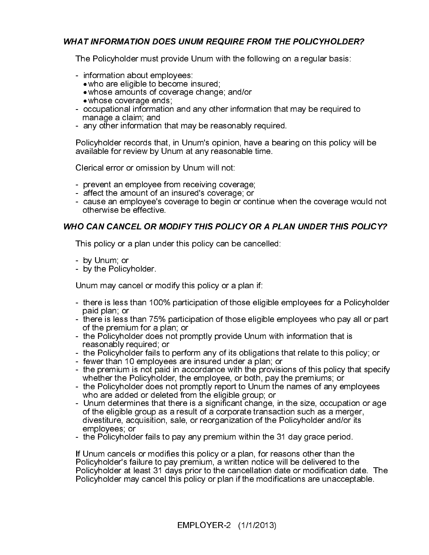The Policyholder must provide Unum with the following on a regular basis:

- 
- information about employees:
	- who are eligible to become insured; • whose amounts of coverage change; and/or
	-
- whose coverage ends; occupational information and any other information that may be required to manage a claim; and
- any other information that may be reasonably required.

Policyholder records that, in Unum's opinion, have a bearing on this policy will be available for review by Unum at any reasonable time.

Clerical error or omission by Unum will not:

- prevent an employee from receiving coverage;
- affect the amount of an insured's coverage; or
- cause an employee's coverage to begin or continue when the coverage would not otherwise be effective.

This policy or a plan under this policy can be cancelled:

- by Unum; or
- by the Policyholder.

Unum may cancel or modify this policy or a plan if:

- there is less than 100% participation of those eligible employees for a Policyholder paid plan; or
- The Policyholder must provide Unum with the following on a regular basis information about employees:<br>
 who are eligible to become insured;<br>
 whose amounts of coverage change; and/or<br>
 whose amounts of coverage and a - there is less than 75% participation of those eligible employees who pay all or part of the premium for a plan; or
	- the Policyholder does not promptly provide Unum with information that is reasonably required; or
	- the Policyholder fails to perform any of its obligations that relate to this policy; or
	- fewer than 10 employees are insured under a plan; or
	- the premium is not paid in accordance with the provisions of this policy that specify whether the Policyholder, the employee, or both, pay the premiums; or
	- the Policyholder does not promptly report to Unum the names of any employees who are added or deleted from the eligible group; or
	- Unum determines that there is a significant change, in the size, occupation or age of the eligible group as a result of a corporate transaction such as a merger, divestiture, acquisition, sale, or reorganization of the Policyholder and/or its employees; or
	- the Policyholder fails to pay any premium within the 31 day grace period.

This policy or a plan under this policy can be cancelled:<br>
by Unum; or<br>
by Unum; or<br>
by the Policyholder.<br>
Unum may cancel or modify this policy or a plan if.<br>
there is less than 100% participation of those eligible emplo If Unum cancels or modifies this policy or a plan, for reasons other than the Policyholder's failure to pay premium, a written notice will be delivered to the Policyholder at least 31 days prior to the cancellation date or modification date. The Policyholder may cancel this policy or plan if the modifications are unacceptable.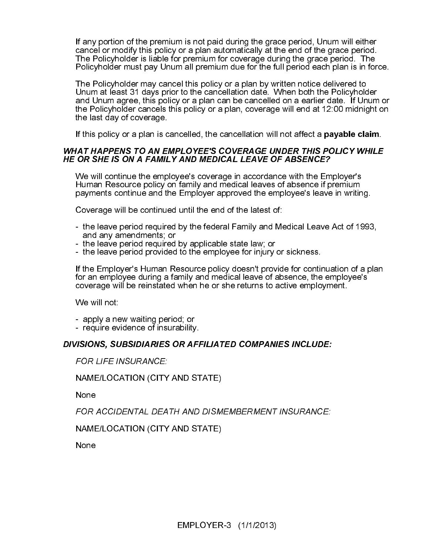If any portion of the premium is not paid during the grace period, Unum will either cancel or modify this policy or a plan automatically at the end of the grace period. The Policyholder is liable for premium for coverage during the grace period. The Policyholder must pay Unum all premium due for the full period each plan is in force.

The Policyholder may cancel this policy or a plan by written notice delivered to Unum at least 31 days prior to the cancellation date. When both the Policyholder and Unum agree, this policy or a plan can be cancelled on a earlier date. If Unum or the Policyholder cancels this policy or a plan, coverage will end at 12:00 midnight on the last day of coverage.

If this policy or a plan is cancelled, the cancellation will not affect a **payable claim**.

### **WHAT HAPPENS TO AN EMPLOYEE'S COVERAGE UNDER THIS POLICY WHILE**

We will continue the employee's coverage in accordance with the Emploman Resource policy on family and medical leaves of absence if p<br>payments continue and the Employer approved the employee's leave<br>Coverage will be contin We will continue the employee's coverage in accordance with the Employer's Human Resource policy on family and medical leaves of absence if premium payments continue and the Employer approved the employee's leave in writing.

Coverage will be continued until the end of the latest of:

- the leave period required by the federal Family and Medical Leave Act of 1993, and any amendments; or
- the leave period required by applicable state law; or
- the leave period provided to the employee for injury or sickness.

WHAT HAPPENS TO AN EMPLOYEE'S COVERAGE UNDER THIS POLICY WHILE<br>HE OR SHE IS ON A FAMILY AND MEDICAL LEAVE OF ABSENCE?<br>We will continue the employee's coverage in accordance with the Employer's<br>Human Resource policy on fami If the Employer's Human Resource policy doesn't provide for continuation of a plan for an employee during a family and medical leave of absence, the employee's coverage will be reinstated when he or she returns to active employment.

We will not:

- apply a new waiting period; or
- require evidence of insurability.

### NAME/LOCATION (CITY AND STATE)

None

FOR LIFE INSURANCE:<br>
FOR LIFE INSURANCE:<br>
None<br>
FOR ACCIDENTAL DEATH AND DISMEMBERMENT INSURANCE:<br>
NAME/LOCATION (CITY AND STATE)<br>
None<br>
<br>
None<br>
EMPLOYER-3 (1/1/2013)

NAME/LOCATION (CITY<br>None<br>FOR ACCIDENTAL DEA<br>NAME/LOCATION (CITY<br>None 1 とり しょうしょう FOR ACCIDENTAL DEATH AND STATE)<br>
None<br>
None<br>
EMPLOYER-3 (1/1/2013) י<br>ו NAME/LOCATION (CITY AND STATE)

None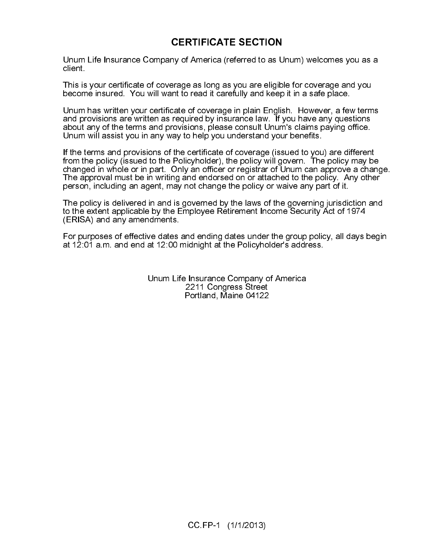### **CERTIFICATE SECTION**

Unum Life Insurance Company of America (referred to as Unum) welcomes you as a client.

This is your certificate of coverage as long as you are eligible for coverage and you become insured. You will want to read it carefully and keep it in a safe place.

Unum has written your certificate of coverage in plain English. However, a few terms and provisions are written as required by insurance law. If you have any questions about any of the terms and provisions, please consult Unum's claims paying office. Unum will assist you in any way to help you understand your benefits.

ny of America (referred to as U<br>
prage as long as you are eligibl<br>
int to read it carefully and keep<br>
cate of coverage in plain Englis<br>
required by insurance law. If y<br>
rovisions, please consult Unum<br>
the certificate of co If the terms and provisions of the certificate of coverage (issued to you) are different from the policy (issued to the Policyholder), the policy will govern. The policy may be changed in whole or in part. Only an officer or registrar of Unum can approve a change. The approval must be in writing and endorsed on or attached to the policy. Any other person, including an agent, may not change the policy or waive any part of it.

The policy is delivered in and is governed by the laws of the governing jurisdiction and to the extent applicable by the Employee Retirement Income Security Act of 1974 (ERISA) and any amendments.

For purposes of effective dates and ending dates under the group policy, all days begin at 12:01 a.m. and end at 12:00 midnight at the Policyholder's address.

> Unum Life Insurance Company of America 2211 Congress Street Portland, Maine 04122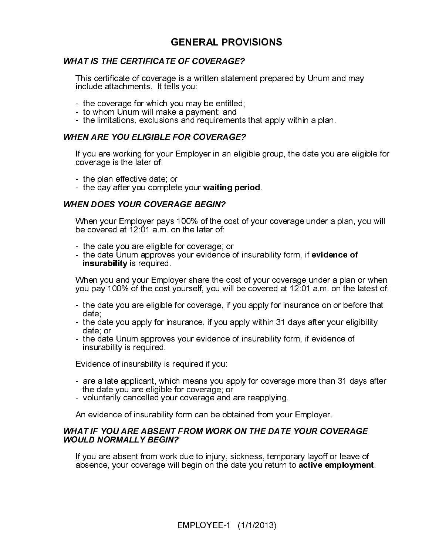### **GENERAL PROVISIONS**

### **WHAT IS THE CERTIFICATE OF COVERAGE?**

This certificate of coverage is a written statement prepared by Unum and may include attachments. It tells you:

- the coverage for which you may be entitled;
- to whom Unum will make a payment; and
- the limitations, exclusions and requirements that apply within a plan.

If you are working for your Employer in an eligible group, the date you are eligible for coverage is the later of:

- the plan effective date; or
- the day after you complete your waiting period.

### WHEN DOES YOUR COVERAGE BEGIN?

When your Employer pays 100% of the cost of your coverage under a plan, you will be covered at 12:01 a.m. on the later of:

- 
- the date you are eligible for coverage; or<br>- the date Unum approves your evidence of insurability form, if evidence of

insurability is required.<br>When you and your Employer share the cost of your coverage under a plan or when you pay 100% of the cost yourself, you will be covered at 12:01 a.m. on the latest of:

- the date you are eligible for coverage, if you apply for insurance on or before that date;
- the date you apply for insurance, if you apply within 31 days after your eligibility date; or
- the date Unum approves your evidence of insurability form, if evidence of insurability is required.

Evidence of insurability is required if you:

- are a late applicant, which means you apply for coverage more than 31 days after the date you are eligible for coverage; or
- voluntarily cancelled your coverage and are reapplying.

An evidence of insurability form can be obtained from your Employer.

### This certificate of coverage is a written statement preparation<br>the coverage for which you may be entited;<br>the whom Unium will make a payment; and<br>the limitations, exclusions and requirements that apply<br> $\text{WHERE TOU ELIGIBLE FOR COVERAGE?}$ <br> If you are working for your Employer in an eligit<br>coverage is the later of:<br>
If you are working for your Employer in an eligit<br>coverage is the later of:<br>
If the day after you complete your waiting per<br>
WHEN DOES YOUR COVER WHAT IF YOU ARE ABSENT FROM WORK ON THE DATE YOUR COVERAGE WOULD NORMALLY BEGIN?

If you are absent from work due to injury, sickness, temporary layoff or leave of absence, your coverage will begin on the date you return to active employment.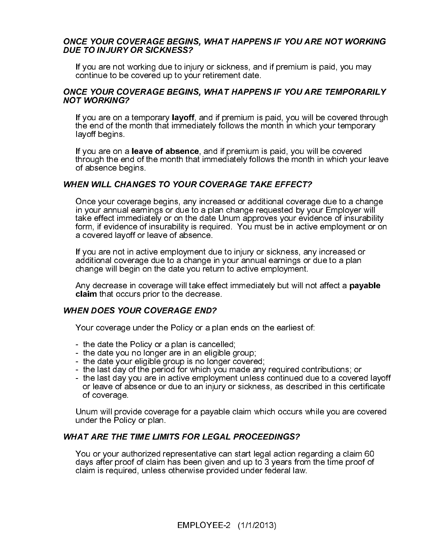### ONCE YOUR COVERAGE BEGINS, WHAT HAPPENS IF YOU ARE NOT WORKING DUE TO INJURY OR SICKNESS?

If you are not working due to injury or sickness, and if premium is paid, you may continue to be covered up to your retirement date.

### ONCE YOUR COVERAGE BEGINS, WHAT HAPPENS IF YOU ARE TEMPORARILY NOT WORKING?

If you are on a temporary layoff, and if premium is paid, you will be covered through the end of the month that immediately follows the month in which your temporary layoff begins.

If you are on a leave of absence, and if premium is paid, you will be covered through the end of the month that immediately follows the month in which your leave of absence begins.

### WHEN WILL CHANGES TO YOUR COVERAGE TAKE EFFECT?

Once your coverage begins, any increased or additional coverage due to a change in your annual earnings or due to a plan change requested by your Employer will take effect immediately or on the date Unum approves your evidence of insurability form, if evidence of insurability is required. You must be in active employment or on a covered layoff or leave of absence.

If you are not in active employment due to injury or sickness, any increased or additional coverage due to a change in your annual earnings or due to a plan change will begin on the date you return to active employment.

Any decrease in coverage will take effect immediately but will not affect a **payable** claim that occurs prior to the decrease.

### WHEN DOES YOUR COVERAGE END?

Your coverage under the Policy or a plan ends on the earliest of:

- the date the Policy or a plan is cancelled;
- the date you no longer are in an eligible group;
- the date your eligible group is no longer covered;
- the last day of the period for which you made any required contributions; or
- the last day you are in active employment unless continued due to a covered layoff or leave of absence or due to an injury or sickness, as described in this certificate of coverage.

Unum will provide coverage for a payable claim which occurs while you are covered under the Policy or plan.

### WHAT ARE THE TIME LIMITS FOR LEGAL PROCEEDINGS?

You or your authorized representative can start legal action regarding a claim 60 days after proof of claim has been given and up to 3 years from the time proof of claim is required, unless otherwise provided under federal law.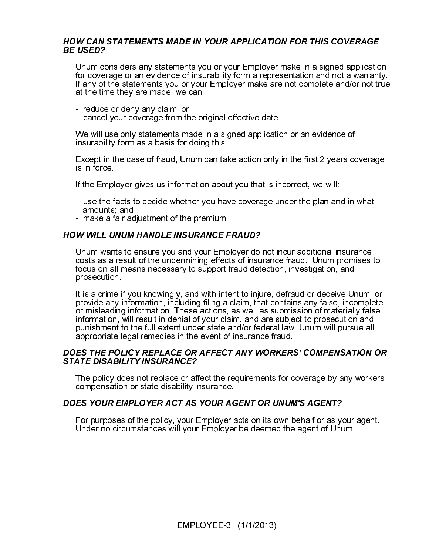### HOW CAN STATEMENTS MADE IN YOUR APPLICATION FOR THIS COVERAGE BE USED?

Unum considers any statements you or your Employer make in a signed application for coverage or an evidence of insurability form a representation and not a warranty. If any of the statements you or your Employer make are not complete and/or not true at the time they are made, we can:

- reduce or deny any claim; or
- cancel your coverage from the original effective date.

We will use only statements made in a signed application or an evidence of insurability form as a basis for doing this.

Except in the case of fraud, Unum can take action only in the first 2 years coverage is in force.

If the Employer gives us information about you that is incorrect, we will:

- use the facts to decide whether you have coverage under the plan and in what amounts; and
- make a fair adjustment of the premium.

### HOW WILL UNUM HANDLE INSURANCE FRAUD?

Unum wants to ensure you and your Employer do not incur additional insurance costs as a result of the undermining effects of insurance fraud. Unum promises to focus on all means necessary to support fraud detection, investigation, and prosecution.

It is a crime if you knowingly, and with intent to injure, defraud or deceive Unum, or provide any information, including filing a claim, that contains any false, incomplete or misleading information. These actions, as well as submission of materially false information, will result in denial of your claim, and are subject to prosecution and punishment to the full extent under state and/or federal law. Unum will pursue all appropriate legal remedies in the event of insurance fraud.

### DOES THE POLICY REPLACE OR AFFECT ANY WORKERS' COMPENSATION OR STATE DISABILITY INSURANCE?

The policy does not replace or affect the requirements for coverage by any workers' compensation or state disability insurance.

### DOES YOUR EMPLOYER ACT AS YOUR AGENT OR UNUM'S AGENT?

For purposes of the policy, your Employer acts on its own behalf or as your agent. Under no circumstances will your Employer be deemed the agent of Unum.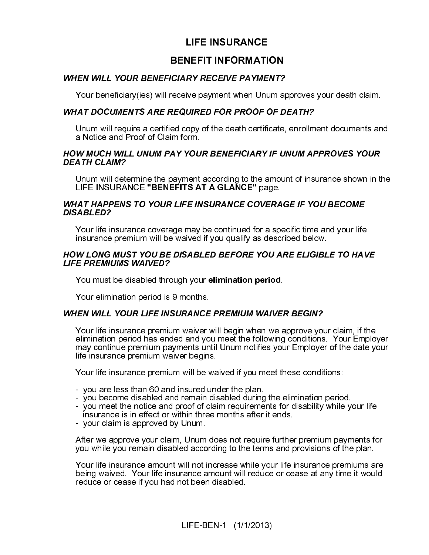### **LIFE INSURANCE**

### **BENEFIT INFORMATION**

Your beneficiary(ies) will receive payment when Unum approves your death claim.

### WHAT DOCUMENTS ARE REQUIRED FOR PROOF OF DEATH?

Unum will require a certified copy of the death certificate, enrollment documents and a Notice and Proof of Claim form.

### HOW MUCH WILL UNUM PAY YOUR BENEFICIARY IF UNUM APPROVES YOUR DEATH CLAIM?

Unum will determine the payment according to the amount of insurance shown in the LIFE INSURANCE "BENEFITS AT A GLANCE" page

### WHAT HAPPENS TO YOUR LIFE INSURANCE COVERAGE IF YOU BECOME DISABLED?

Your life insurance coverage may be continued for a specific time and your life insurance premium will be waived if you qualify as described below.

### HOW LONG MUST YOU BE DISABLED BEFORE YOU ARE ELIGIBLE TO HAVE LIFE PREMIUMS WAIVED?

You must be disabled through your elimination period.

Your elimination period is 9 months.

### WHEN WILL YOUR LIFE INSURANCE PREMIUM WAIVER BEGIN?

NEFIT INFORMATION<br> *RY RECEIVE PAYMEL*<br>
ive payment when Unu<br>
UIRED FOR PROOF C<br>
opy of the death certific<br>
opy of the death certific<br>
rm.<br>
YOUR BENEFICIARY<br>
nent according to the a<br>
SAT A GLANCE" page<br>
IE INSURANCE COVE<br> WHEN WILL YOUR BENEFICIARY RECEIVE PAYMENT?<br>
Your beneficiary(ies) will receive payment when Unum art<br>
WHAT DOCUMENTS ARE REQUIRED FOR PROOF OF D.<br>
Unum will require a certificationy of the death certificate.<br>
Aloitic and Your life insurance premium waiver will begin when we approve your claim, if the elimination period has ended and you meet the following conditions. Your Employer may continue premium payments until Unum notifies your Employer of the date your life insurance premium waiver begins.

Your life insurance premium will be waived if you meet these conditions:

- you are less than 60 and insured under the plan.
- you become disabled and remain disabled during the elimination period.
- you meet the notice and proof of claim requirements for disability while your life insurance is in effect or within three months after it ends.
- your claim is approved by Unum.

After we approve your claim, Unum does not require further premium payments for you while you remain disabled according to the terms and provisions of the plan.

Your life insurance amount will not increase while your life insurance premiums are being waived. Your life insurance amount will reduce or cease at any time it would reduce or cease if you had not been disabled.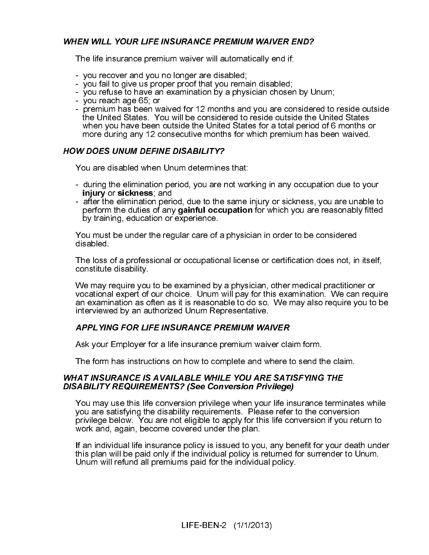### WHEN WILL YOUR LIFE INSURANCE PREMIUM WAIVER END?

The life insurance premium waiver will automatically end if:

- you recover and you no longer are disabled;
- you fail to give us proper proof that you remain disabled;
- you refuse to have an examination by a physician chosen by Unum;
- you reach age 65; or
- premium has been waived for 12 months and you are considered to reside outside the United States. You will be considered to reside outside the United States when you have been outside the United States for a total period of 6 months or more during any 12 consecutive months for which premium has been waived.

### HOW DOES UNUM DEFINE DISABILITY?

You are disabled when Unum determines that:

- during the elimination period, you are not working in any occupation due to your injury or sickness; and
- after the elimination period, due to the same injury or sickness, you are unable to perform the duties of any gainful occupation for which you are reasonably fitted by training, education or experience.

You must be under the regular care of a physician in order to be considered disabled.

The loss of a professional or occupational license or certification does not, in itself, constitute disability.

We may require you to be examined by a physician, other medical practitioner or vocational expert of our choice. Unum will pay for this examination. We can require an examination as often as it is reasonable to do so. We may also require you to be interviewed by an authorized Unum Representative.

### APPLYING FOR LIFE INSURANCE PREMIUM WAIVER

Ask your Employer for a life insurance premium waiver claim form.

The form has instructions on how to complete and where to send the claim.

### WHAT INSURANCE IS AVAILABLE WHILE YOU ARE SATISFYING THE DISABILITY REQUIREMENTS? (See Conversion Privilege)

You may use this life conversion privilege when your life insurance terminates while you are satisfying the disability requirements. Please refer to the conversion privilege below. You are not eligible to apply for this life conversion if you return to work and, again, become covered under the plan.

If an individual life insurance policy is issued to you, any benefit for your death under this plan will be paid only if the individual policy is returned for surrender to Unum. Unum will refund all premiums paid for the individual policy.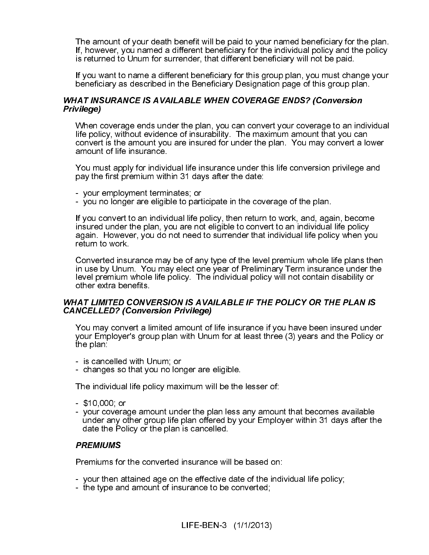The amount of your death benefit will be paid to your named beneficiary for the plan. If, however, you named a different beneficiary for the individual policy and the policy is returned to Unum for surrender, that different beneficiary will not be paid.

If you want to name a different beneficiary for this group plan, you must change your beneficiary as described in the Beneficiary Designation page of this group plan.

### WHAT INSURANCE IS AVAILABLE WHEN COVERAGE ENDS? (Conversion Privilege)

When coverage ends under the plan, you can convert your coverage to an individual life policy, without evidence of insurability. The maximum amount that you can convert is the amount you are insured for under the plan. You may convert a lower amount of life insurance.

You must apply for individual life insurance under this life conversion privilege and pay the first premium within 31 days after the date:

- your employment terminates; or
- you no longer are eligible to participate in the coverage of the plan.

If you convert to an individual life policy, then return to work, and, again, become insured under the plan, you are not eligible to convert to an individual life policy again. However, you do not need to surrender that individual life policy when you return to work.

Converted insurance may be of any type of the level premium whole life plans then in use by Unum. You may elect one year of Preliminary Term insurance under the level premium whole life policy. The individual policy will not contain disability or other extra benefits.

### WHAT LIMITED CONVERSION IS AVAILABLE IF THE POLICY OR THE PLAN IS CANCELLED? (Conversion Privilege)

You may convert a limited amount of life insurance if you have been insured under your Employer's group plan with Unum for at least three (3) years and the Policy or the plan:

- is cancelled with Unum; or
- changes so that you no longer are eligible.

The individual life policy maximum will be the lesser of:

- \$10,000; or
- your coverage amount under the plan less any amount that becomes available under any other group life plan offered by your Employer within 31 days after the date the Policy or the plan is cancelled.

### **PREMIUMS**

Premiums for the converted insurance will be based on:

- your then attained age on the effective date of the individual life policy;
- the type and amount of insurance to be converted;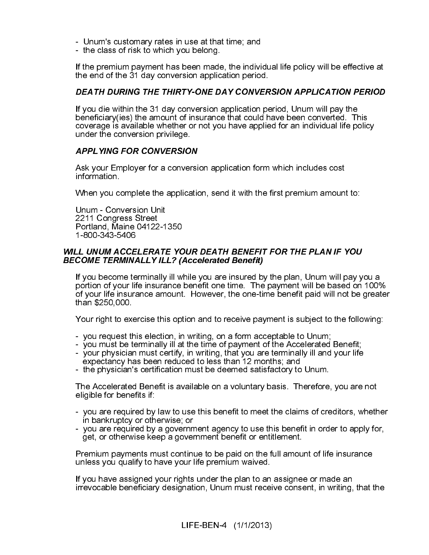- Unum's customary rates in use at that time; and
- the class of risk to which you belong.

If the premium payment has been made, the individual life policy will be effective at the end of the 31 day conversion application period.

### DEATH DURING THE THIRTY-ONE DAY CONVERSION APPLICATION PERIOD

If you die within the 31 day conversion application period, Unum will pay the beneficiary(ies) the amount of insurance that could have been converted. This coverage is available whether or not you have applied for an individual life policy under the conversion privilege.

### APPLYING FOR CONVERSION

Ask your Employer for a conversion application form which includes cost information.

When you complete the application, send it with the first premium amount to:

Unum - Conversion Unit 2211 Congress Street Portland, Maine 04122-1350 1-800-343-5406

### WILL UNUM ACCELERATE YOUR DEATH BENEFIT FOR THE PLAN IF YOU<br>BECOME TERMINALLY ILL? (Accelerated Benefit)

**BECOME TERMINALLY ILL? (Accelerated Benefit)**<br>
If you become terminally ill while you are insured by<br>
portion of your life insurance benefit one time. The<br>
of your life insurance amount. However, the one-tin<br>
than \$250,0 If you become terminally ill while you are insured by the plan, Unum will pay you a portion of your life insurance benefit one time. The payment will be based on 100% of your life insurance amount. However, the one-time benefit paid will not be greater than \$250,000.

Your right to exercise this option and to receive payment is subject to the following:

- you request this election, in writing, on a form acceptable to Unum;
- you must be terminally ill at the time of payment of the Accelerated Benefit;
- your physician must certify, in writing, that you are terminally ill and your life expectancy has been reduced to less than 12 months; and
- the physician's certification must be deemed satisfactory to Unum.

The Accelerated Benefit is available on a voluntary basis. Therefore, you are not eligible for benefits if:

- you are required by law to use this benefit to meet the claims of creditors, whether in bankruptcy or otherwise; or
- you are required by a government agency to use this benefit in order to apply for, get, or otherwise keep a government benefit or entitlement.

Premium payments must continue to be paid on the full amount of life insurance unless you qualify to have your life premium waived.

If you have assigned your rights under the plan to an assignee or made an irrevocable beneficiary designation, Unum must receive consent, in writing, that the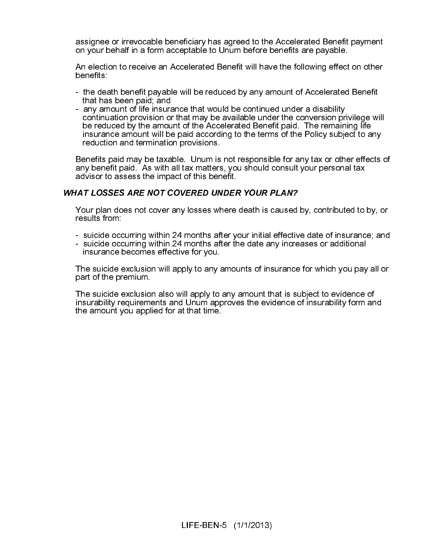assignee or irrevocable beneficiary has agreed to the Accelerated Benefit payment on your behalf in a form acceptable to Unum before benefits are payable.

An election to receive an Accelerated Benefit will have the following effect on other benefits:

- the death benefit payable will be reduced by any amount of Accelerated Benefit that has been paid; and
- any amount of life insurance that would be continued under a disability continuation provision or that may be available under the conversion privilege will be reduced by the amount of the Accelerated Benefit paid. The remaining life insurance amount will be paid according to the terms of the Policy subject to any reduction and termination provisions.

Benefits paid may be taxable. Unum is not responsible for any tax or other effects of any benefit paid. As with all tax matters, you should consult your personal tax advisor to assess the impact of this benefit.

Your plan does not cover any losses where death is caused by, contributed to by, or results from:

- suicide occurring within 24 months after your initial effective date of insurance; and
- suicide occurring within 24 months after the date any increases or additional insurance becomes effective for you.

The suicide exclusion will apply to any amounts of insurance for which you pay all or part of the premium.

Your plan does not cover any losses where death is caused<br>results from:<br>- suicide occurring within 24 months after your initial effectiv<br>- suicide occurring within 24 months after the date any incre-<br>- insurance becomes ef The suicide exclusion also will apply to any amount that is subject to evidence of insurability requirements and Unum approves the evidence of insurability form and the amount you applied for at that time.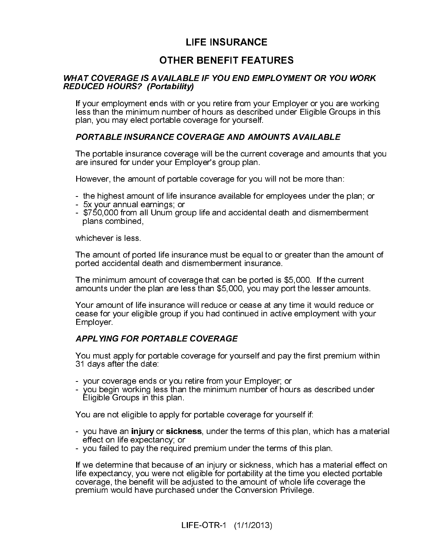### **LIFE INSURANCE**

### **OTHER BENEFIT FEATURES**

If your employment ends with or you retire from your Employer or you are working less than the minimum number of hours as described under Eligible Groups in this

The portable insurance coverage will be the current coverage and amounts that you are insured for under your Employer's group plan.

However, the amount of portable coverage for you will not be more than:

- the highest amount of life insurance available for employees under the plan; or
- 5x your annual earnings; or
- \$750,000 from all Unum group life and accidental death and dismemberment plans combined,

whichever is less.

The amount of ported life insurance must be equal to or greater than the amount of ported accidental death and dismemberment insurance.

The minimum amount of coverage that can be ported is \$5,000. If the current amounts under the plan are less than \$5,000, you may port the lesser amounts.

IR BENEFIT FEATURE SILE IF YOU END EMP.<br>
SILE IF YOU END EMP.<br>
UP or you retire from your<br>
provides a described coverage for yourself.<br>
DVERAGE AND AMOU<br>
age will be the current of<br>
ployer's group plan.<br>
ble coverage for y **REDUCED HOURS?** (Portability)<br>
If your employern ends with or you retre from your Employer or you are working<br>
less than the minimum number of hours as described under Eligible Groups in this<br>
plan, you may elect portable The minimum number of the minimum number<br>
RED TO HOURS TO HOURS (THE PORTABLE INSURANCE COVENT The portable insurance coverage<br>
The portable insurance coverage<br>
The portable insurance coverage<br>
The portable insurance cover plan, you may elect portable coverage for yourself.<br> **PORTABLE INSURANCE COVERAGE AND AMOUNTS AVAILABLE**<br>
The portable insurance coverage will be the current coverage and amount<br>
are insured for under your Employer's group Your amount of life insurance will reduce or cease at any time it would reduce or cease for your eligible group if you had continued in active employment with your Employer.

### **APPLYING FOR PORTABLE COVERAGE**

31 days after the date:

- your coverage ends or you retire from your Employer; or
- you begin working less than the minimum number of hours as described under Eligible Groups in this plan.

You are not eligible to apply for portable coverage for yourself if:

- effect on life expectancy; or
- you failed to pay the required premium under the terms of this plan.

VAILABLE IF YOU END EMPLOYMINA<br>
Intability)<br>
ds with or you retire from your Emplo<br>
number of hours as described under<br>
rtable coverage for yourself.<br>
NCE COVERAGE AND AMOUNTS A<br>
e coverage will be the current coverage<br>
ou Nou must apply for portable coverage for yourself and pay the first premium within<br>
21 days after the date:<br>
20 our coverage ends or you retire from your Employer; or<br>
20 ou coverage ends or you retire from your Employer; - you have an injury or sickness, under the terms of this plan, which has a material effect on life expectancy, or<br>- you failed to pay the required premium under the terms of this plan.<br>If we determine that because of an i If we determine that because of an injury or sickness, which has a material effect on life expectancy, you were not eligible for portability at the time you elected portable coverage, the benefit will be adjusted to the amount of whole life coverage the premium would have purchased under the Conversion Privilege.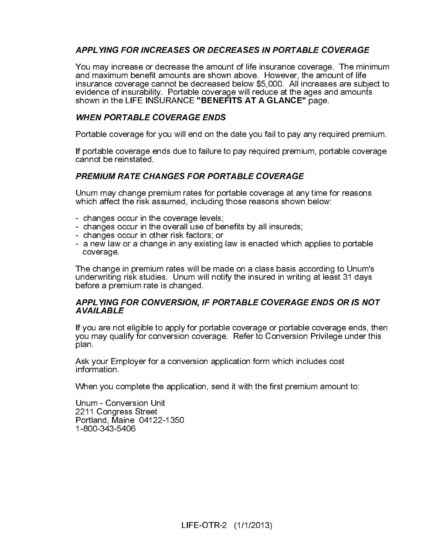You may increase or decrease the amount of life insurance coverage. The minimum<br>insurance coverage cannot be decreased below \$5,000. All increases are subject to<br>insurance coverage cored coverage will reduce at the ages an and maximum benefit amounts are shown above. However, the amount of life insurance coverage cannot be decreased below \$5,000. All increases are subject to evidence of insurability. Portable coverage will reduce at the ages and amounts shown in the LIFE INSURANCE "BENEFITS AT A GLANCE" page.

Portable coverage for you will end on the date you fail to pay any required premium.

If portable coverage ends due to failure to pay required premium, portable coverage cannot be reinstated.

Unum may change premium rates for portable coverage at any time for reasons which affect the risk assumed, including those reasons shown below:

- changes occur in the coverage levels;
- changes occur in the overall use of benefits by all insureds;
- changes occur in other risk factors; or
- a new law or a change in any existing law is enacted which applies to portable coverage.

shown in the LIFE INSURANCE "BENEFITS AT A GLANCE" page.<br>
WHEN PORTABLE COVERAGE ENDS<br>
Portable coverage for you will end on the date you fail to pay any req<br>
If portable coverage ends due to failure to pay required premiu Portable coverage for you will end on the<br>
If portable coverage ends due to failure to<br>
cannot be reinstated.<br> **PREMIUM RATE CHANGES FOR PORT**<br>
Unum may change premium rates for portable affect the risk assumed, including Unium may change premium rates for portable coverage at anythich affect the risk assumed, including those reasons shown - changes occur in the coverage levels;<br>
- changes occur in the coverage levels;<br>
- changes occur in t The change in premium rates will be made on a class basis according to Unum's underwriting risk studies. Unum will notify the insured in writing at least 31 days before a premium rate is changed.

**AVAILABLE**<br>
If you are not eligible to apply for portable coverage or portable coverage ends, the<br>
you may qualify for conversion coverage. Refer to Conversion Privilege under this<br>
plan.<br>
Ask your Employer for a conversi If you are not eligible to apply for portable coverage or portable coverage ends, then you may qualify for conversion coverage. Refer to Conversion Privilege under this plan.

Ask your Employer for a conversion application form which includes cost information.

When you complete the application, send it with the first premium amount to:

France and<br>If you are not<br>you may qual<br>plan.<br>Ask your Emp<br>information.<br>When you col<br>Unum - Conve<br>2211 Congres<br>Portland, Mai<br>1-800-343-54 Unum - Conversion Unit 2211 Congress Street Portland, Maine 04122-1350 1-800-343-5406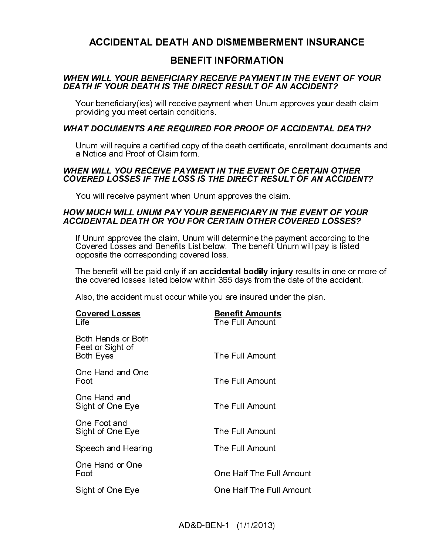### **ACCIDENTAL DEATH AND DISMEMBERMENT INSURANCE**

| <b>BENEFIT INFORMATION</b>                                                                                                                                                                              |  |
|---------------------------------------------------------------------------------------------------------------------------------------------------------------------------------------------------------|--|
| WHEN WILL YOUR BENEFICIARY RECEIVE PAYMENT IN THE EVENT OF YOUR<br>DEATH IF YOUR DEATH IS THE DIRECT RESULT OF AN ACCIDENT?                                                                             |  |
| Your beneficiary (ies) will receive payment when Unum approves your death claim<br>providing you meet certain conditions.                                                                               |  |
| WHAT DOCUMENTS ARE REQUIRED FOR PROOF OF ACCIDENTAL DEATH?                                                                                                                                              |  |
| Unum will require a certified copy of the death certificate, enrollment documents an                                                                                                                    |  |
| WHEN WILL YOU RECEIVE PAYMENT IN THE EVENT OF CERTAIN OTHER<br><b>COVERED LOSSES IF THE LOSS IS THE DIRECT RESULT OF AN ACCIDENT?</b>                                                                   |  |
| You will receive payment when Unum approves the claim.                                                                                                                                                  |  |
| HOW MUCH WILL UNUM PAY YOUR BENEFICIARY IN THE EVENT OF YOUR<br>ACCIDENTAL DEATH OR YOU FOR CERTAIN OTHER COVERED LOSSES?                                                                               |  |
| If Unum approves the claim, Unum will determine the payment according to the<br>Covered Losses and Benefits List below. The benefit Unum will pay is listed<br>opposite the corresponding covered loss. |  |
| The benefit will be paid only if an accidental bodily injury results in one or more o<br>the covered losses listed below within 365 days from the date of the accident.                                 |  |
| Also, the accident must occur while you are insured under the plan.                                                                                                                                     |  |
| <b>Benefit Amounts</b><br>The Full Amount                                                                                                                                                               |  |
| The Full Amount                                                                                                                                                                                         |  |
| The Full Amount                                                                                                                                                                                         |  |
| The Full Amount                                                                                                                                                                                         |  |
| The Full Amount                                                                                                                                                                                         |  |
| The Full Amount                                                                                                                                                                                         |  |
| One Half The Full Amount                                                                                                                                                                                |  |
| One Half The Full Amount                                                                                                                                                                                |  |
| AD&D-BEN-1 (1/1/2013)                                                                                                                                                                                   |  |
|                                                                                                                                                                                                         |  |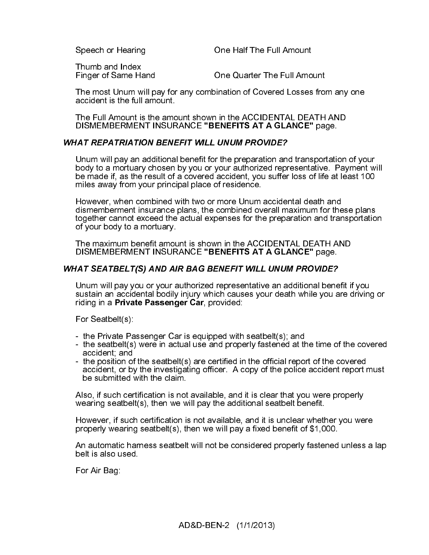Speech or Hearing **Speech of Half The Full Amount** 

Thumb and Index<br>Finger of Same Hand

One Quarter The Full Amount

The most Unum will pay for any combination of Covered Losses from any one accident is the full amount.

The Full Amount is the amount shown in the ACCIDENTAL DEATH AND DISMEMBERMENT INSURANCE "BENEFITS AT A GLANCE" page.

### **WHAT REPATRIATION BENEFIT WILL UNUM PROVIDE?**

Unum will pay an additional benefit for the preparation and transportation of your body to a mortuary chosen by you or your authorized representative. Payment will be made if, as the result of a covered accident, you suffer loss of life at least 100 miles away from your principal place of residence.

Unum will pay an additional benefit for the preparation and<br>body to a morttuary chosen by you or your authorized repr<br>be made if, as the result of a covered accident, you usuffer<br>miles away from your principal place of re However, when combined with two or more Unum accidental death and dismemberment insurance plans, the combined overall maximum for these plans together cannot exceed the actual expenses for the preparation and transportation of your body to a mortuary.

The maximum benefit amount is shown in the ACCIDENTAL DEATH AND DISMEMBERMENT INSURANCE "BENEFITS AT A GLANCE" page.

Unum will pay you or your authorized representative an additional bene sustain an accidental bodily injury which causes your death while you a<br>riding in a **Private Passenger Car**, provided:<br>For Seatbelt(s):<br>the Private Pas Unum will pay you or your authorized representative an additional benefit if you sustain an accidental bodily injury which causes your death while you are driving or riding in a Private Passenger Car, provided:

For Seatbelt(s):

- the Private Passenger Car is equipped with seatbelt(s); and
- the seatbelt(s) were in actual use and properly fastened at the time of the covered accident; and
- the position of the seatbelt(s) are certified in the official report of the covered accident, or by the investigating officer. A copy of the police accident report must be submitted with the claim.

Also, if such certification is not available, and it is clear that you were properly wearing seatbelt(s), then we will pay the additional seatbelt benefit.

However, if such certification is not available, and it is unclear whether you were properly wearing seatbelt(s), then we will pay a fixed benefit of \$1,000.

An automatic harness seatbelt will not be considered properly fastened unless a lap belt is also used.

For Air Bag: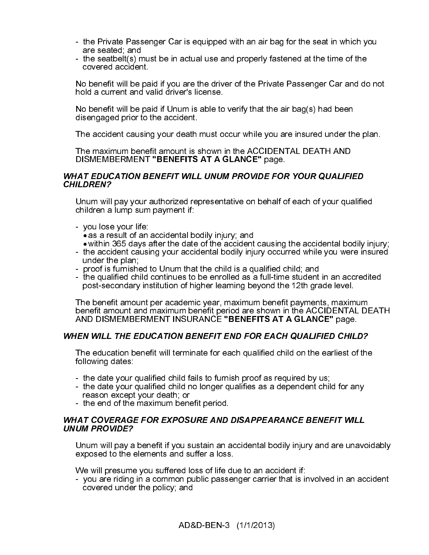- the Private Passenger Car is equipped with an air bag for the seat in which you are seated; and
- the seatbelt(s) must be in actual use and properly fastened at the time of the covered accident.

No benefit will be paid if you are the driver of the Private Passenger Car and do not hold a current and valid driver's license.

No benefit will be paid if Unum is able to verify that the air bag(s) had been disengaged prior to the accident.

The accident causing your death must occur while you are insured under the plan.

The maximum benefit amount is shown in the ACCIDENTAL DEATH AND DISMEMBERMENT "BENEFITS AT A GLANCE" page.

### WHAT EDUCATION BENEFIT WILL UNUM PROVIDE FOR YOUR QUALIFIED

Unum will pay your authorized representative on behalf of each of your qualified children a lump sum payment if:

- 
- you lose your life:<br>● as a result of an accidental bodily injury; and
- $\bullet$  within 365 days after the date of the accident causing the accidental bodily injury;
- within 365 days after the date of the accident causing the accidental bodily injury; the accident causing your accidental bodily injury occurred while you were insured under the plan;
- proof is furnished to Unum that the child is a qualified child; and
- the qualified child continues to be enrolled as a full-time student in an accredited post-secondary institution of higher learning beyond the 12th grade level.

CHILDRENY<br>
Unlum will pay your authorized representative on behalf of each of your qualifie<br>
children al ump sum payment if:<br>
you lose your life:<br>
you lose your life:<br>
exa a result of an accidental bodily injury; and<br>
the Unum will<br>children a<br>exage as a re<br>within :<br>- the accid under th<br>- proof is<br>- the qual<br>post-sec<br>The benefit am<br>post-sec<br>The benefit am<br>DISN<br>WHEN WILL<br>The educa<br>following c<br>- the date<br>reason e<br>- the date<br>- the date<br>reason e The benefit amount per academic year, maximum benefit payments, maximum benefit amount and maximum benefit period are shown in the ACCIDENTAL DEATH AND DISMEMBERMENT INSURANCE "BENEFITS AT A GLANCE" page.

The education benefit will terminate for each qualified child on the earliest of the following dates:

- the date your qualified child fails to furnish proof as required by us;
- the date your qualified child no longer qualifies as a dependent child for any reason except your death; or
- the end of the maximum benefit period.

### The education benefit will terminate for each qualified child on the earliest of the following dates:<br>
- the date your qualified child fails to furnish proof as required by us;<br>
- the date your qualified child no longer qu

UNUM PROVIDE?<br>Unum will pay a benefit if you sustain an accidental bodily injury and are unave<br>exposed to the elements and suffer a loss.<br>We will presume you suffered loss of life due to an accident if:<br>- you are riding in **UNUM PROVIDE?**<br>Unum will pay a<br>exposed to the e<br>We will presume<br>- you are riding<br>covered under Unum will pay a benefit if you sustain an accidental bodily injury and are unavoidably exposed to the elements and suffer a loss.

We will presume you suffered loss of life due to an accident if:

- you are riding in a common public passenger carrier that is involved in an accident covered under the policy; and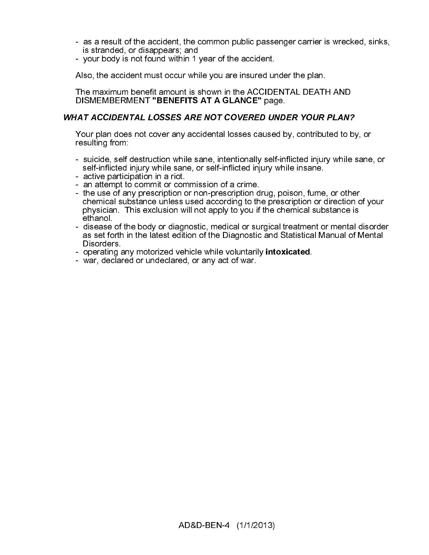- as a result of the accident, the common public passenger carrier is wrecked, sinks, is stranded, or disappears; and
- your body is not found within 1 year of the accident.

Also, the accident must occur while you are insured under the plan.

The maximum benefit amount is shown in the ACCIDENTAL DEATH AND DISMEMBERMENT "BENEFITS AT A GLANCE" page.

Your plan does not cover any accidental losses caused by, contributed to by, or resulting from:

- suicide, self destruction while sane, intentionally self-inflicted injury while sane, or self-inflicted injury while sane, or self-inflicted injury while insane.
- active participation in a riot.
- an attempt to commit or commission of a crime.
- Your plan does not cover any accidental losses caused by, contributed to by<br>resulting from:<br>suicide, self destruction while sane, intentionally self-inflicted injury while set<br>we self-inflicted injury while sane, or self-i - the use of any prescription or non-prescription drug, poison, fume, or other chemical substance unless used according to the prescription or direction of your physician. This exclusion will not apply to you if the chemical substance is ethanol.
	- disease of the body or diagnostic, medical or surgical treatment or mental disorder as set forth in the latest edition of the Diagnostic and Statistical Manual of Mental Disorders.
	- operating any motorized vehicle while voluntarily **intoxicated**.
	- war, declared or undeclared, or any act of war.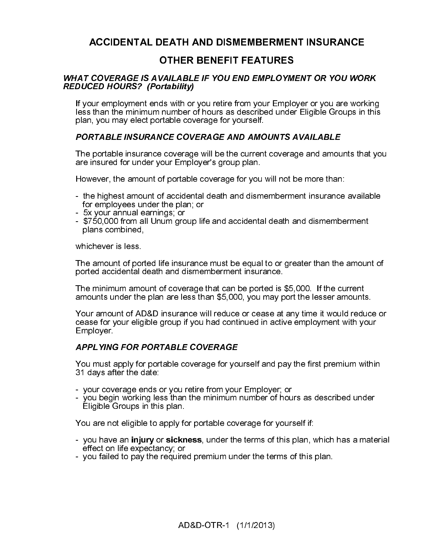### **ACCIDENTAL DEATH AND DISMEMBERMENT INSURANCE**

If your employment ends with or you retire from your Employer or you are working less than the minimum number of hours as described under Eligible Groups in this

The portable insurance coverage will be the current coverage and amounts that you are insured for under your Employer's group plan.

However, the amount of portable coverage for you will not be more than:

- the highest amount of accidental death and dismemberment insurance available for employees under the plan; or
- 5x your annual earnings; or
- \$750,000 from all Unum group life and accidental death and dismemberment plans combined,

whichever is less.

The amount of ported life insurance must be equal to or greater than the amount of ported accidental death and dismemberment insurance.

The minimum amount of coverage that can be ported is \$5,000. If the current amounts under the plan are less than \$5,000, you may port the lesser amounts.

**COVERAGE IS AVAILABLE IF YOU EMD EMPLOYMENT OR YOU WORED HOMBAS?** (Portability)<br>CED HOURS? (Portability) you retire from your Employer or you are work-<br>than the minimum employer on you are work than the frame minimum dumb VAILABLE IF YOU END EMPLOYMI<br>
Intability)<br>
ds with or you retire from your Emplo<br>
number of hours as described under<br>
table coverage for yourself.<br>
NCE COVERAGE AND AMOUNTS A<br>
e coverage will be the current coverage<br>
our E **REDUCED HOURS?** (Portability)<br>
If your employern ends with or you retre from your Employer or you are working<br>
less than the minimum number of hours as described under Eligible Groups in this<br>
plan, you may elect portable The strain the minimum number of the minimum number of plan, you may elect portable covered portable covered and you may elect portable in the portable insurance coverage are insured for under your Emplot However, the amou plan, you may elect portable coverage for yourself.<br> **PORTABLE INSURANCE COVERAGE AND AMOUNTS AVAILABLE**<br>
The portable insurance coverage will be the current coverage and amou<br>
are insured for under your Employer's group p Your amount of AD&D insurance will reduce or cease at any time it would reduce or cease for your eligible group if you had continued in active employment with your Employer.

### **APPLYING FOR PORTABLE COVERAGE**

31 days after the date:

- your coverage ends or you retire from your Employer; or
- you begin working less than the minimum number of hours as described under Eligible Groups in this plan.

You are not eligible to apply for portable coverage for yourself if:

- Nou must apply for portable coverage for yourself and pay the first premium within<br>
21 days after the date:<br>
 you recoverage ends or you retire from your Employer; or<br>
 you begin working less than the minimum number of h - you have an injury or sickness, under the terms of this plan, which has a material - you have an **injury** or **sickness**, under the terms of this plan, which has a material effect on life expectancy; or<br>- you failed to pay the required premium under the terms of this plan.<br>- you failed to pay the required effect on life expectancy; or
- you failed to pay the required premium under the terms of this plan.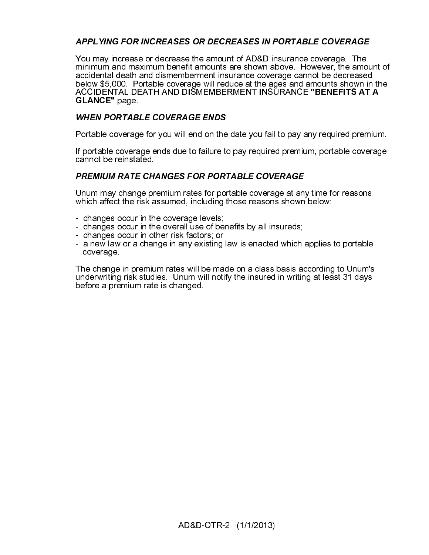### APPLYING FOR INCREASES OR DECREASES IN PORTABLE COVERAGE

You may increase or decrease the amount of AD&D insurance coverage. The amond primitimum and maximum benefit amounts are shown above. However, the amondom below \$5.000. Portable coverage will reduce at the ages and amounts minimum and maximum benefit amounts are shown above. However, the amount of accidental death and dismemberment insurance coverage cannot be decreased below \$5,000. Portable coverage will reduce at the ages and amounts shown in the<br>ACCIDENTAL DEATH AND DISMEMBERMENT INSURANCE **"BENEFITS AT A** 

Portable coverage for you will end on the date you fail to pay any required premium.

If portable coverage ends due to failure to pay required premium, portable coverage cannot be reinstated.

Unum may change premium rates for portable coverage at any time for reasons which affect the risk assumed, including those reasons shown below:

- changes occur in the coverage levels;
- changes occur in the overall use of benefits by all insureds;
- changes occur in other risk factors; or
- a new law or a change in any existing law is enacted which applies to portable coverage.

ACCIDENTAL DEATH AND DISMEMBERMENT INSURANCE "BENEFITS AT A<br>CCAIDENTAL DEATH AND DISMEMBERMENT INSURANCE "BENEFITS AT A<br>WHEN PORTABLE COVERAGE ENDS<br>Portable coverage for you will end on the date you fail to pay any require GLANCE" page.<br>
WHEN PORTABI<br>
Portable coverage<br>
If portable coverage<br>
cannot be reinsta<br>
PREMIUM RATE<br>
Unum may chang<br>
which affect the ri<br>
- changes occur<br>
- changes occur<br>
- a new law or a doverage.<br>
The change in preder Portable coverage for you will end on the<br>If portable coverage ends due to failure to<br>cannot be reinstated.<br> **PREMIUM RATE CHANGES FOR POR1**<br>
Unum may change premium rates for portable of the<br>
changes occur in the coverage Unum may change premium rates for portable coverage at an<br>which affect the risk assumed, including those reasons shown<br>- changes occur in the coverage levels;<br>- changes occur in the overall use of benefits by all insureds; The change in premium rates will be made on a class basis according to Unum's underwriting risk studies. Unum will notify the insured in writing at least 31 days before a premium rate is changed.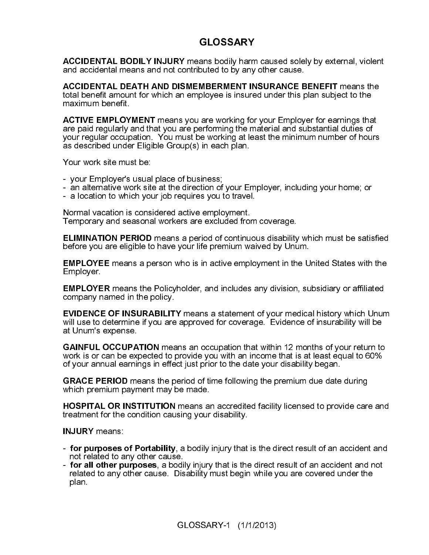### **GLOSSARY**

and accidental means and not contributed to by any other cause.

**ACCIDENTAL DEATH AND DISMEMBERMENT INSURANCE BENEFIT means the** total benefit amount for which an employee is insured under this plan subject to the

ACCIDENTAL BODILY INJURY means bodily harm caused solely by external, violent<br>and accidental means and not contributed to by any other cause.<br>AcCIDENTAL DEATH AND DISMEMBERMENT INSURANCE BENEFIT means the<br>ACCIDENTAL DEATH ACCIDENTAL DEATH AND DISMEMEERMENT INSURANCE BENEFIT means the maximum benefit to the maximum benefit.<br>ACCIDENT and the maximum benefit and maximum benefit and maximum benefit.<br>ACTIVE EMPLOYMENT means you are working for y maximum benefit.<br> **ACTIVE EMPLOY**<br>
are paid regularly is<br>
your regular occup<br>
as described unde<br>
Your work site mus<br>
- your Employer's<br>
- an alternative work<br>
- a location to which<br>
Normal vacation is<br>
Temporary and se<br>
EL ACTIVE EMPLOYMENT means you are working for your Employer for earnings that<br>are paid regularly and that you are performing the material and substantial dutles of<br>your regular occupation. You must be working at least the mi are paid regularly and that you are performing the material and substantial duties of your regular occupation. You must be working at least the minimum number of hours as described under Eligible Group(s) in each plan.

Your work site must be:

- your Employer's usual place of business;
- an alternative work site at the direction of your Employer, including your home; or
- a location to which your job requires you to travel.

Normal vacation is considered active employment. Temporary and seasonal workers are excluded from coverage.

ELIMINATION PERIOD means a period of continuous disability which must be satisfied<br>EMPLOYEE means a person who is in active employment in the United States with the<br>EMPLOYEE means a person who is in active employment in th before you are eligible to have your life premium waived by Unum.<br>
EMPLOYEE means a person who is in active employment in the U<br>
EMPLOYEE means the Policyholder, and includes any division, su<br>
EMPLOYEE means the Policyhold EMPLOYEE means a person who is in active employment in the United States with the<br>EMPLOYEE means the Policyholder, and includes any division, subsidiary or affiliated<br>company named in the policy.<br>EMPLOYEE means the Policyh Employer.<br>
EMPLOYE<br>
company n<br>
EVIDENCE<br>
will use to dat Unum's<br>
GAINFUL<br>
work is or dof<br>
of your anr<br>
GRACE PI<br>
which prem<br>
HOSPITAL<br>
treatment f<br>
INJURY m<br>
- for purp not relate<br>
- for all ot<br>
related to<br>
plan. EMPLOYER means the Policyholder, and includes any division, subsidiary or affiliated<br>
EMPLOYER means the Policy.<br>
EVIDENCE OF INSURABILITY means a statement of your medical history which Unumil<br>
use to determine if you are company named in the policy.<br> **EVIDENCE OF INSURABILIT**<br>
will use to determine if you are<br>
at Unum's expense.<br> **GAINFUL OCCUPATION** mea<br>
work is or can be expected to portion<br>
of your annual earnings in effert<br> **GRACE PERI** will use to determine if you are approved for coverage. <sup>\*</sup>Evidence of insurability will be<br>at Unum's expense.

EVIDENCE OF INSURABILITY means a statement of your medical history which Unum<br>at Unum's expense.<br>The Unum's expense.<br>CAINFUL OCCUPATION means an occupation that within 12 months of your return to<br>work is or can be expected at Unum's expense.<br>
GAINFUL OCCUPA<br>
work is or can be exp<br>
of your annual earnin<br>
GRACE PERIOD me<br>
which premium payn<br>
HOSPITAL OR INST<br>
treatment for the cor<br>
INJURY means:<br>
- for purposes of P<br>
not related to any othe<br>
work is or can be expected to provide you with an income that is at least equal to 60%<br>of your annual earnings in effect just prior to the date your disability began.

- for purposes of Portability, a bodily injury that is the direct result of an accident and not related to any other cause.<br>Fig. 10. The direct result of an accident and not - for all other purposes, a bodily injury that is the direct result of an accident and not
- GAINFUL OCCUPATION means an occupation that within 12 months of your return to do your sected to provide you with an income that is at least equal to 60% of your annual earnings in effect just prior to the date your disabi of your annual earnings in effect just prior to the date your disability began.<br> **GRACE PERIOD** means the period of time following the premium due date<br>
which premium payment may be made.<br> **HOSPITAL OR INSTITUTION** means a GRACE PERIOD means the period of time following the premium due date during<br>which premium payment may be made.<br>HOSPITAL OR INSTITUTION means an accredited facility licensed to provide care<br>treatment for the condition caus which premium payment may be made.<br> **HOSPITAL OR INSTITUTION** means are treatment for the condition causing your<br> **INJURY** means:<br> **For purposes of Portability**, a bodily<br> **INJURY** means:<br> **For all other purposes**, a bodil HOSPITAL OR INSTITUTION means an accredited facility licensed to provide care and<br>treatment for the condition causing your disability.<br>
INJURY means:<br>
- for purposes of Portability, a bodily injury that is the direct resul treatment for the condition causing your disability.<br> **INJURY** means:<br> **- for purposes of Portability**, a bodily injury that<br> **- for all other purposes**, a bodily injury that is the<br>
related to any other cause. Disability INJURY means:<br>- for purposes of<br>not related to a<br>- for all other pi<br>related to any c<br>plan. - **for purposes of Portability**, a bodily injury that is the direct result of an accident and not related to any other cause.<br> **- for all other purposes**, a bodily injury that is the direct result of an accident and not re - **for all other purposes**, a bodily injury that is the direct result of an accident and not related to any other cause. Disability must begin while you are covered under the plan.<br>plan.<br>GLOSSARY-1 (1/1/2013) related to any other cause. Disability must begin while you are covered under the plan.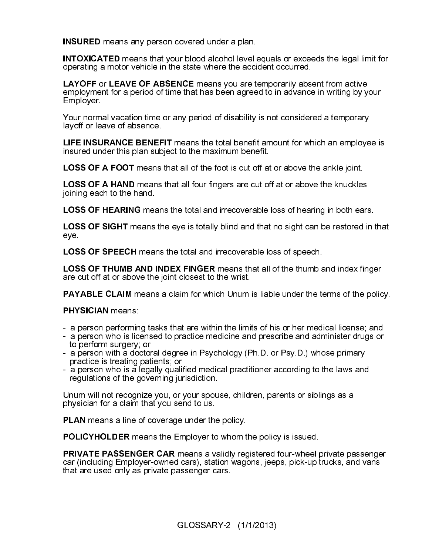INSURED means any person covered under a plan.<br>
INTOXICATED means that your blood alcohol level e<br>
operating a motor vehicle in the state where the accion<br>
LAYOFF or LEAVE OF ABSENCE means you are temployment for a period INTOXICATED means that your blood alcohol level equals or exceeds the legal limit for<br>poperating a motor vehicle in the state where the accident occurred.<br>LAYOFF or LEAVE OF ABSENCE means you are temporarily absent from ac operating a motor vehicle in the state where the accident occurred.<br>
LAYOFF or LEAVE OF ABSENCE means you are temporarily absemployment for a period of time that has been agreed to in advance<br>
Employer.<br>
Your normal vacati LAYOFF or LEAVE OF ABSENCE means you are temporarily absent from active<br>employment for a period of time that has been agreed to in advance in writing by y<br>Employer.<br>Your normal vacation time or any period of disability is employment for a period of time that has been agreed to in advance in writing by your

Your normal vacation time or any period of disability is not considered a temporary layoff or leave of absence.

Employer.<br>Your norma<br>layoff or lea<br>LIFE INSU<br>insured una<br>LOSS OF .<br>LOSS OF .<br>Joning eac<br>LOSS OF .<br>LOSS OF .<br>LOSS OF .<br>LOSS OF .<br>LOSS OF .<br>LOSS OF .<br>LOSS OF .<br>LOSS OF .<br>LOSS OF .<br>LOSS OF .<br>LOSS OF .<br>LOSS OF .<br>LOSS OF .<br>LOSS LIFE INSURANCE BENEFIT means the total benefit amount for which an employee is<br>insured under this plan subject to the maximum benefit.<br>LOSS OF A FOOT means that all of the foot is cut off at or above the ankle joint.<br>LOSS insured under this plan subject to the maximum benefit.<br>
LOSS OF A FOOT means that all of the foot is cut off at<br>
LOSS OF A HAND means that all four fingers are cut of<br>
pining each to the hand.<br>
LOSS OF HEARING means the t

- a person performing tasks that are within the limits of his or her medical license; and
- a person who is licensed to practice medicine and prescribe and administer drugs or to perform surgery; or
- a person with a doctoral degree in Psychology (Ph.D. or Psy.D.) whose primary practice is treating patients; or
- a person who is a legally qualified medical practitioner according to the laws and regulations of the governing jurisdiction.

Unum will not recognize you, or your spouse, children, parents or siblings as a physician for a claim that you send to us.

LOSS OF A FOOT means that all of the foot is cut off at or above the ankle joint.<br>LOSS OF A HAND means that all four fingers are cut off at or above the knuckles<br>ipining each to the hand.<br>LOSS OF HEARING means the total an LOSS OF A HAND means that all four fingers are cut off at or above the knuckles<br>ioning each to the hand.<br>LOSS OF HEARING means the total and irrecoverable loss of hearing in both ears<br>LOSS OF SIGHT means the eye is totally joining each to the hand.<br>
LOSS OF HEARING mea<br>
LOSS OF SIGHT means<br>
eye.<br>
LOSS OF SPEECH mear<br>
LOSS OF THUMB AND I<br>
are cut off at or above the<br>
PAYABLE CLAIM means<br>
PHYSICIAN means.<br>
- a person performing tas-<br>
a person LOSS OF HEARING means the total and irrecoverable loss of hearing in both ears.<br>
LOSS OF SIGHT means the eye is totally blind and that no sight can be restored in the eye<br>
LOSS OF SPEECH means the total and irrecoverable l LOSS OF SIGHT means the eye is totally blind and that no sight can be restored in that eye is to the signal intercoverable loss of speech.<br>
LOSS OF THUMB AND INDEX FINGER means that all of the thumb and index finger<br>
are c eye. LOS: are controller a proper since the proper and proper a proper a proper since the controller proper since that are that a second proper since  $\mathbf{P}$  PRIV car (it at a LOSS OF SPEECH means the total and irrecoverable loss of speech.<br>
LOSS OF THUMB AND INDEX FINGER means that all of the thumb are cut off at or above the joint closest to the wrist.<br>
PAYABLE CLAIM means a claim for which Un LOSS OF THUMB AND INDEX FINGER means that all of the thumb and index finger<br>are cut off at or above the joint closest to the wrist.<br>
PAYABLE CLAIM means a claim for which Unum is liable under the terms of the polic<br>
PHYSIC are cut off at or above the joint closest to the wrist.<br> **PAYABLE CLAIM** means a claim for which Unum i<br> **PHYSICIAN** means.<br>
- a person performing tasks that are within the limit<br>
the perform surgery, or<br>
- a person with a **PAYABLE CLAIM** means a claim for which Unum is liable under the terms of the policy.<br> **PHYSICIAN** means:<br>
- a person performing tasks that are within the limits of his or her medical license; and<br>
- a person which is lice **PHYSICIAN** means:<br>
- a person performin<br>
- a person who is lict<br>
to perform surgery;<br>
- a person with a doo<br>
practice is treating<br>
- a person who is a l<br>
regulations of the g<br>
Unum will not recogn<br>
physician for a claim<br> **PLAN** means a line of coverage under the policy.<br> **POLICYHOLDER** means the Employer to whom the<br> **PRIVATE PASSENGER CAR** means a validly regear (including Employer-owned cars), station wage<br>
that are used only as private POLICYHOLDER means the Employer to whom the policy is issued.<br>
PRIVATE PASSENGER CAR means a validly registered four-wheel r<br>
car (including Employer-owned cars), station wagons, jeeps, pick-up t<br>
that are used only as pri **PRIVATE PASSENGER CAR** means a validly registered four-wheel private passenger car (including Employer-owned cars), station wagons, jeeps, pick-up trucks, and vans that are used only as private passenger cars.<br> **CLOSSARY**car (including Employer-owned cars), station wagons, jeeps, pick-up trucks, and vans<br>that are used only as private passenger cars. that are used only as private passenger cars.<br>GLOSSARY-2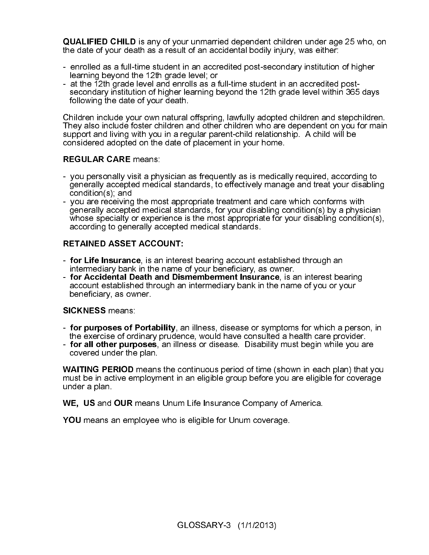- enrolled as a full-time student in an accredited post-secondary institution of higher learning beyond the 12th grade level; or
- at the 12th grade level and enrolls as a full-time student in an accredited postsecondary institution of higher learning beyond the 12th grade level within 365 days following the date of your death.

**QUALIFIED CHILD is any of your ummarried dependent children under age 25 who, on<br>the date of your death as a result of an accidental bodity injury, was either:<br>- enrolled as a full-time student in an accredited post-secon** Children include your own natural offspring, lawfully adopted children and stepchildren. They also include foster children and other children who are dependent on you for main support and living with you in a regular parent-child relationship. A child will be considered adopted on the date of placement in your home.

- you personally visit a physician as frequently as is medically required, according to generally accepted medical standards, to effectively manage and treat your disabling condition(s); and
- the date of your death as a result of an accidental bodily injury, was either:<br>
 enrolled as a full-time student in an accredited post-secondary institution<br>
 learning beyond the 12th grade level i, or<br>
 at the 12th gra REGULAR CARE means:<br>- you personally visit a phy<br>generally accepted medic<br>condition(s); and<br>- you are receiving the mo<br>generally accepted medic<br>whose specialty or exper<br>according to generally ac<br>RETAINED ASSET ACCO<br>- for L - you are receiving the most appropriate treatment and care which conforms with generally accepted medical standards, for your disabling condition(s) by a physician whose specialty or experience is the most appropriate for your disabling condition(s), according to generally accepted medical standards.

- intermediary bank in the name of your beneficiary, as owner.<br>Fig. **Accidental Death and Dismemberment Insurance**, is an interest bearing
- account established through an intermediary bank in the name of you or your beneficiary, as owner.

- for purposes of Portability, an illness, disease or symptoms for which a person, in the exercise of ordinary prudence, would have consulted a health care provider.<br>**For all other purposes**, an illness or disease. Disability must begin while you are
- covered under the plan.

For Life Insurance, is an intere-<br>intermediary bank in the name of for Accidental Death and Discocount established through an<br>beneficiary, as owner.<br>SICKNESS means:<br>- for purposes of Portability, a the exercise of ordinary For Life Insurance, is an interest bearing account established through an intermediary bank in the name of your beneficiary, as owner.<br>The Accidental Death and Dismemberment Insurance, is an interest beaccount established For Accidental Death and Dismemberment Insurance, is an interest bearing<br>account established through an intermediary bank in the name of you or your<br>beneficiary, as owner.<br>SICKNESS means:<br>the averose of Portability, an ill SICKNESS means:<br>- for purposes of F<br>the exercise of ord<br>- for all other purp<br>covered under the<br>WAITING PERIOD r<br>must be in active em<br>under a plan.<br>WE, US and OUR n<br>YOU means an emp - for purposes of Portability, an illness, disease or symptoms for which a person, in<br>the exercise of ordinary prudence, would have consulted a health care provider.<br>- for all other purposes, an illness or disease. Disabil - for all other purposes, an illness or disease. Disability must begin while you are covered under the plan.<br>
WAITING PERIOD means the continuous period of time (shown in each plan) that you are similar to the must be in a WAITING PERIOD means the continuous period of time (shown in each plan) that you<br>must be in active employment in an eligible group before you are eligible for coverage<br>under a plan.<br>WE, US and OUR means Unum Life Insurance must be in active employment in an eligible group before you are eligible for coverage under a plan.<br>WE, US and l<br>YOU means a

WE, US and OUR means Unum Life Insurance Company of America.<br>YOU means an employee who is eligible for Unum coverage.<br> $\hbox{GLOSBARY-3}~~(1/1/2013)$ 

YOU means an employee who is eligible for Unum coverage.<br> $\hbox{GLOSSARY-3}\quad (1/1/2013)$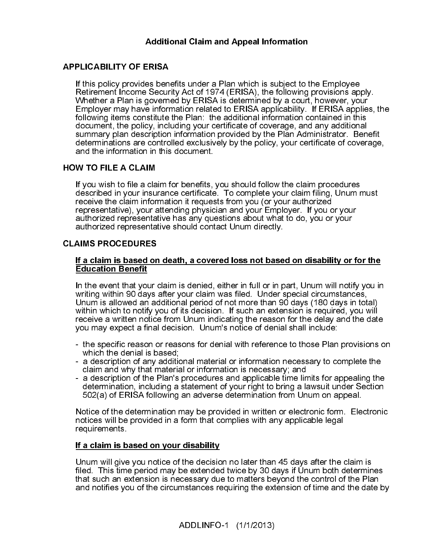Additional Claim and Appeal Information<br>
ERISA<br>
ERISA<br>
es benefits under a Plan which is subject to t<br>
Security Act of 1974 (ERISA), the following<br>
groverned by ERISA is determined by a court<br>
e information related to ERIS If this policy provides ben<br>
Retirement Income Secur<br>
Whether a Plan is govern<br>
Employer may have inform<br>
following items constitute<br>
document, the policy, incl<br>
summary plan description<br>
determinations are contro<br>
and the If this policy provides benefits under a Plan which is subject to the Employee Retirement Income Security Act of 1974 (ERISA), the following provisions apply. Whether a Plan is governed by ERISA is determined by a court, however, your Employer may have information related to ERISA applicability. If ERISA applies, the following items constitute the Plan: the additional information contained in this document, the policy, including your certificate of coverage, and any additional summary plan description information provided by the Plan Administrator. Benefit determinations are controlled exclusively by the policy, your certificate of coverage, and the information in this document.

If you wish to file a claim for benefits, you should follow the claim procedures described in your insurance certificate. To complete your claim filing, Unum must receive the claim information it requests from you (or your authorized representative), your attending physician and your Employer. If you or your authorized representative has any questions about what to do, you or your authorized representative should contact Unum directly.

If you wish to file a cla<br>described in your insu<br>receive the claim infor<br>representative), your a<br>authorized representa<br>authorized representa<br>**CLAIMS PROCEDURES**<br>If a claim is based or<br>Education Benefit<br>In the event that yo **CLAIMS PROCEDURES**<br>
If a claim is based on<br>
Education Benefit<br>
In the event that your of<br>
writing within 90 days is<br>
Unum is allowed an ac<br>
within which to notify y<br>
receive a written notice<br>
you may expect a final<br>
- the **Education Benefit**<br>
In the event that your claim is denied, either in full or in part. Unum will notify you<br>
In the event that your claim is denied, either in full or in part. Unum will notify you<br>
Unum is allowed an addi **Education Benefit**<br>
In the event that you<br>
writing within 90 day<br>
Unum is allowed an<br>
within which to notif<br>
receive a written not<br>
you may expect a fil<br>
- the specific reasol<br>
which the denial is<br>
- a description of ar<br> In the event that your claim is denied, either in full or in part, Unum will notify you in writing within 90 days after your claim was filed. Under special circumstances, Unum is allowed an additional period of not more than 90 days (180 days in total) within which to notify you of its decision. If such an extension is required, you will receive a written notice from Unum indicating the reason for the delay and the date you may expect a final decision. Unum's notice of denial shall include:

- the specific reason or reasons for denial with reference to those Plan provisions on which the denial is based;
- a description of any additional material or information necessary to complete the claim and why that material or information is necessary; and
- a description of the Plan's procedures and applicable time limits for appealing the determination, including a statement of your right to bring a lawsuit under Section 502(a) of ERISA following an adverse determination from Unum on appeal.

Notice of the determination may be provided in written or electronic form. Electronic notices will be provided in a form that complies with any applicable legal requirements.

If a claim is based on your disability<br>Unum will give you notice of the decisio<br>filed. This time period may be extended<br>that such an extension is necessary due<br>and notifies you of the circumstances re<br>ADDLINFO Unum will give you notice of the decision no later than 45 days after the claim is filed. This time period may be extended twice by 30 days if Unum both determines that such an extension is necessary due to matters beyond the control of the Plan and notifies you of the circumstances requiring the extension of time and the date by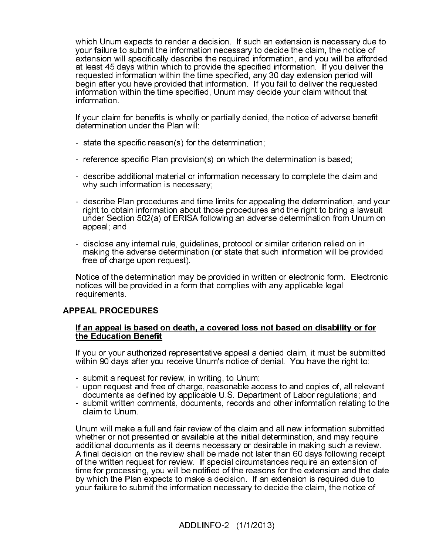which Unum expects to render a decision. If such an extension is necessary due to your failure to submit the information necessary to decide the claim, the notice of extension will specifically describe the required information, and you will be afforded at least 45 days within which to provide the specified information. If you deliver the requested information within the time specified, any 30 day extension period will begin after you have provided that information. If you fail to deliver the requested information within the time specified, Unum may decide your claim without that information.

If your claim for benefits is wholly or partially denied, the notice of adverse benefit determination under the Plan will:

- state the specific reason(s) for the determination;
- reference specific Plan provision(s) on which the determination is based;
- describe additional material or information necessary to complete the claim and why such information is necessary;
- describe Plan procedures and time limits for appealing the determination, and your right to obtain information about those procedures and the right to bring a lawsuit under Section 502(a) of ERISA following an adverse determination from Unum on appeal; and
- disclose any internal rule, guidelines, protocol or similar criterion relied on in making the adverse determination (or state that such information will be provided free of charge upon request).

Notice of the determination may be provided in written or electronic form. Electronic notices will be provided in a form that complies with any applicable legal requirements.

### **APPEAL PROCEDURES**

If you or your authorized representative appeal a denied claim, it must be submitted within 90 days after you receive Unum's notice of denial. You have the right to:

- submit a request for review, in writing, to Unum;
- upon request and free of charge, reasonable access to and copies of, all relevant documents as defined by applicable U.S. Department of Labor regulations; and
- submit written comments, documents, records and other information relating to the claim to Unum.

**APPEAL PROCEDURES**<br>
<u>If an appeal is based</u><br>
the Education Benefit<br>
If you or your authorize<br>
within 90 days after you<br>
- submit a request for  $\cdot$ <br>
- upon request and fre<br>
documents as define<br>
- submit written commercial The Education Benefit<br>
If you or your authorized representative appeal a denied claim, it must be submitt<br>
within 90 days after you receive Unum's notice of denial. You have the right to:<br>
- submit a request and free of ch If you or your authorized<br>If you or your authorized<br>within 90 days after you<br>- submit a request for re<br>documents as defined<br>- submit written comme<br>claim to Unum.<br>Unum will make a full ar<br>whether or not presente<br>additional Unum will make a full and fair review of the claim and all new information submitted whether or not presented or available at the initial determination, and may require additional documents as it deems necessary or desirable in making such a review. A final decision on the review shall be made not later than 60 days following receipt of the written request for review. If special circumstances require an extension of time for processing, you will be notified of the reasons for the extension and the date by which the Plan expects to make a decision. If an extension is required due to your failure to submit the information necessary to decide the claim, the notice of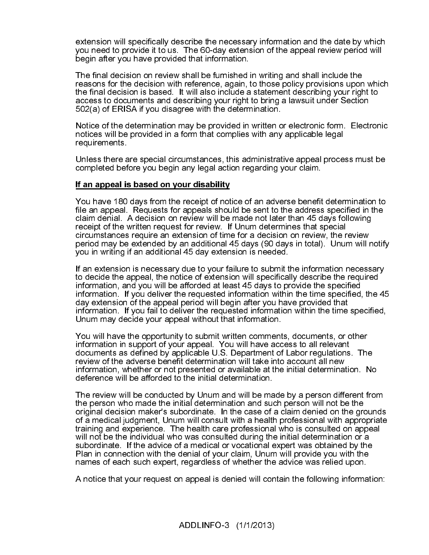extension will specifically describe the necessary information and the date by which you need to provide it to us. The 60-day extension of the appeal review period will begin after you have provided that information.

The final decision on review shall be furnished in writing and shall include the reasons for the decision with reference, again, to those policy provisions upon which the final decision is based. It will also include a statement describing your right to access to documents and describing your right to bring a lawsuit under Section 502(a) of ERISA if you disagree with the determination.

Notice of the determination may be provided in written or electronic form. Electronic notices will be provided in a form that complies with any applicable legal requirements.

Unless there are special circumstances, this administrative appeal process must be completed before you begin any legal action regarding your claim.

You have 180 days from the receipt of notice of an adverse benefit determination to file an appeal. Requests for appeals should be sent to the address specified in the claim denial. A decision on review will be made not later than 45 days following receipt of the written request for review. If Unum determines that special circumstances require an extension of time for a decision on review, the review period may be extended by an additional 45 days (90 days in total). Unum will notify you in writing if an additional 45 day extension is needed.

If an extension is necessary due to your failure to submit the information necessary to decide the appeal, the notice of extension will specifically describe the required information, and you will be afforded at least 45 days to provide the specified information. If you deliver the requested information within the time specified, the 45 day extension of the appeal period will begin after you have provided that information. If you fail to deliver the requested information within the time specified, Unum may decide your appeal without that information.

You will have the opportunity to submit written comments, documents, or other information in support of your appeal. You will have access to all relevant documents as defined by applicable U.S. Department of Labor regulations. The review of the adverse benefit determination will take into account all new information, whether or not presented or available at the initial determination. No deference will be afforded to the initial determination.

**The mask of the symbol and the symbol Symbol Symbol Symbol and the method on appeal is an appeal. Requests for appeals should<br>aim denial. A decision on review will be receipt of the written request for appeals should<br>aim** The review will be conducted by Unum and will be made by a person different from the person who made the initial determination and such person will not be the original decision maker's subordinate. In the case of a claim denied on the grounds of a medical judgment, Unum will consult with a health professional with appropriate training and experience. The health care professional who is consulted on appeal will not be the individual who was consulted during the initial determination or a subordinate. If the advice of a medical or vocational expert was obtained by the Plan in connection with the denial of your claim, Unum will provide you with the names of each such expert, regardless of whether the advice was relied upon.

A notice that your request on appeal is denied will contain the following information: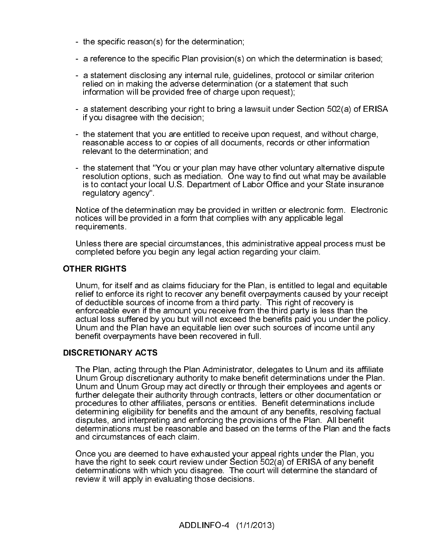- the specific reason(s) for the determination;
- a reference to the specific Plan provision(s) on which the determination is based;
- a statement disclosing any internal rule, guidelines, protocol or similar criterion relied on in making the adverse determination (or a statement that such information will be provided free of charge upon request);
- a statement describing your right to bring a lawsuit under Section 502(a) of ERISA if you disagree with the decision;
- the statement that you are entitled to receive upon request, and without charge, reasonable access to or copies of all documents, records or other information relevant to the determination; and
- the statement that "You or your plan may have other voluntary alternative dispute resolution options, such as mediation. One way to find out what may be available is to contact your local U.S. Department of Labor Office and your State insurance regulatory agency".

Notice of the determination may be provided in written or electronic form. Electronic notices will be provided in a form that complies with any applicable legal requirements.

Unless there are special circumstances, this administrative appeal process must be completed before you begin any legal action regarding your claim.

Unum, for itself and as claims fiduciary for the Plan, is entitled to legal and equitable relief to enforce its right to recover any benefit overpayments caused by your receipt of deductible sources of income from a third party. This right of recovery is enforceable even if the amount you receive from the third party is less than the actual loss suffered by you but will not exceed the benefits paid you under the policy. Unum and the Plan have an equitable lien over such sources of income until any benefit overpayments have been recovered in full.

**OTHER RIGHTS**<br>
Unum, for itse<br>
relief to enforce<br>
of deductible s<br>
enforceable ev<br>
actual loss suf<br>
Unum and the<br>
benefit overpa<br> **DISCRETIONAR'**<br>
The Plan, actir<br>
Unum Group c<br>
Unum and Uni<br>
Unum and Uni<br>
further delegat DISCRETIONARY ACTS<br>The Plan, acting throug<br>Unum Group discretior<br>Unum and Unum Grou<br>further delegate their a<br>procedures to other aff<br>determining eligibility for<br>disputes, and interpreti<br>determinations must be<br>Once you are The Plan, acting through the Plan Administrator, delegates to Unum and its affiliate Unum Group discretionary authority to make benefit determinations under the Plan. Unum and Unum Group may act directly or through their employees and agents or further delegate their authority through contracts, letters or other documentation or procedures to other affiliates, persons or entities. Benefit determinations include determining eligibility for benefits and the amount of any benefits, resolving factual disputes, and interpreting and enforcing the provisions of the Plan. All benefit determinations must be reasonable and based on the terms of the Plan and the facts and circumstances of each claim.

Once you are deemed to have exhausted your appeal rights under the Plan, you have the right to seek court review under Section 502(a) of ERISA of any benefit determinations with which you disagree. The court will determine the standard of review it will apply in evaluating those decisions.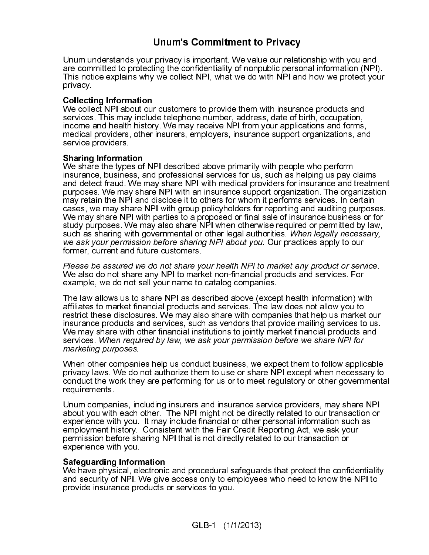### Unum's Commitment to Privacy

Unum understands your privacy is important. We value our relationship with you and are committed to protecting the confidentiality of nonpublic personal information (NPI). This notice explains why we collect NPI, what we do with NPI and how we protect your privacy.

### Collecting Information

We collect NPI about our customers to provide them with insurance products and services. This may include telephone number, address, date of birth, occupation, income and health history. We may receive NPI from your applications and forms, medical providers, other insurers, employers, insurance support organizations, and service providers.

**Sharing Information**<br>We share the types of NPI described above primarily with people who perform insurance, business, and professional services for us, such as helping us pay claims and detect fraud. We may share NPI with medical providers for insurance and treatment purposes. We may share NPI with an insurance support organization. The organization may retain the NPI and disclose it to others for whom it performs services. In certain cases, we may share NPI with group policyholders for reporting and auditing purposes. We may share NPI with parties to a proposed or final sale of insurance business or for study purposes. We may also share NPI when otherwise required or permitted by law,<br>such as sharing with governmental or other legal authorities. When legally necessary, we ask your permission before sharing NPI about you. Our practices apply to our former, current and future customers.

Please be assured we do not share your health NPI to market any product or service. We also do not share any NPI to market non-financial products and services. For example, we do not sell your name to catalog companies.

such as sharing with governmental or chiner legal authorities. When legally necessary,<br>we ask your permission before sharing NPI about you. Our practices apply to our<br>former, current and future customes.<br>When also there yo we ask your permission before sharing NPI about you. Our practices apply to our<br>We also your permission before sharing NPI about you. Our practices apply to our<br>Please be assured we do not share your health NPI to market a Please be assured we do not share your health NPI to market any product or service.<br>We also do not share any NPI to market non-financial products and services. For sexample, we do not sell your name to catalog companies.<br> The law allows us to share NPI as described above (except health information) with affiliates to market financial products and services. The law does not allow you to restrict these disclosures. We may also share with companies that help us market our insurance products and services, such as vendors that provide mailing services to us. We may share with other financial institutions to jointly market financial products and<br>services. When required by law, we ask your permission before we share NPI for marketing purposes.

When other companies help us conduct business, we expect them to follow applicable privacy laws. We do not authorize them to use or share NPI except when necessary to conduct the work they are performing for us or to meet regulatory or other governmental requirements.

services. When required by law, we ask your permission before we share NPI for marketing purposes.<br>We han other companies help us conduct business, we expect them to follow applic<br>privacy laws. We do not authorize them to When other compani-<br>privacy laws. We do reconduct the work the<br>requirements.<br>Unum companies, ince<br>about you with each of<br>experience with you.<br>permission before shexperience with you.<br>Safeguarding Inform<br>We have physical, e Unum companies, including insurers and insurance service providers, may share NPI about you with each other. The NPI might not be directly related to our transaction or experience with you. It may include financial or other personal information such as employment history. Consistent with the Fair Credit Reporting Act, we ask your permission before sharing NPI that is not directly related to our transaction or experience with you.

### Safeguarding Information

We have physical, electronic and procedural safeguards that protect the confidentiality and security of NPI. We give access only to employees who need to know the NPI to provide insurance products or services to you.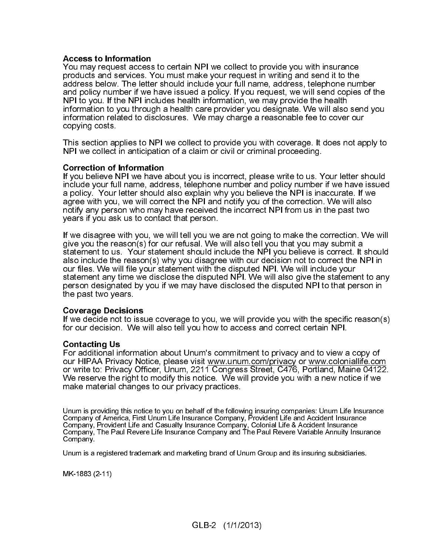Access to Information<br>You may request access to certain NPI we collect to provide you with insurance products and services. You must make your request in writing and send it to the address below. The letter should include your full name, address, telephone number and policy number if we have issued a policy. If you request, we will send copies of the NPI to you. If the NPI includes health information, we may provide the health information to you through a health care provider you designate. We will also send you information related to disclosures. We may charge a reasonable fee to cover our copying costs.

This section applies to NPI we collect to provide you with coverage. It does not apply to NPI we collect in anticipation of a claim or civil or criminal proceeding.

### Correction of Information

If you believe NPI we have about you is incorrect, please write to us. Your letter should include your full name, address, telephone number and policy number if we have issued a policy. Your letter should also explain why you believe the NPI is inaccurate. If we agree with you, we will correct the NPI and notify you of the correction. We will also notify any person who may have received the incorrect NPI from us in the past two years if you ask us to contact that person.

If we disagree with you, we will tell you we are not going to make the correction. We will give you the reason(s) for our refusal. We will also tell you that you may submit a statement to us. Your statement should include the NPI you believe is correct. It should also include the reason(s) why you disagree with our decision not to correct the NPI in our files. We will file your statement with the disputed NPI. We will include your statement any time we disclose the disputed NPI. We will also give the statement to any person designated by you if we may have disclosed the disputed NPI to that person in the past two years.

### Coverage Decisions

If we decide not to issue coverage to you, we will provide you with the specific reason(s) for our decision. We will also tell you how to access and correct certain NPI.

### Contacting Us

For additional information about Unum's commitment to privacy and to view a copy of our HIPAA Privacy Notice, please visit www.unum.com/privacy or www.coloniallife.com or write to: Privacy Officer, Unum, 2211 Congress Street, C476, Portland, Maine 04122. We reserve the right to modify this notice. We will provide you with a new notice if we make material changes to our privacy practices.

Unum is providing this notice to you on behalf of the following insuring companies: Unum Life Insurance Company of America, First Unum Life Insurance Company, Provident Life and Accident Insurance Company, Provident Life and Casualty Insurance Company, Colonial Life & Accident Insurance Company, The Paul Revere Life Insurance Company and The Paul Revere Variable Annuity Insurance Company.

Unum is a registered trademark and marketing brand of Unum Group and its insuring subsidiaries.

MK-1883 (2-11)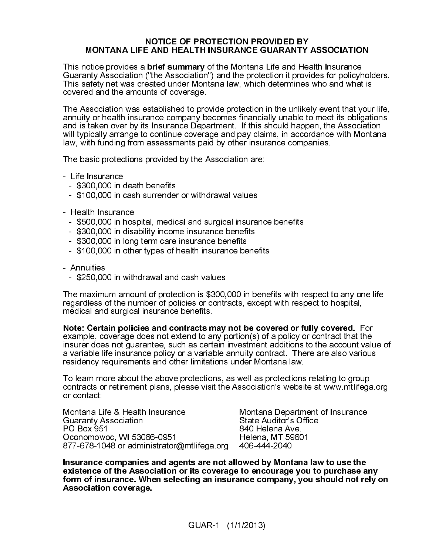### NOTICE OF PROTECTION PROVIDED BY MONTANA LIFE AND HEALTH INSURANCE GUARANTY ASSOCIATION

This notice provides a brief summary of the Montana Life and Health Insurance Guaranty Association ("the Association") and the protection it provides for policyholders. This safety net was created under Montana law, which determines who and what is covered and the amounts of coverage.

The Association was established to provide protection in the unlikely event that your life, annuity or health insurance company becomes financially unable to meet its obligations and is taken over by its Insurance Department. If this should happen, the Association will typically arrange to continue coverage and pay claims, in accordance with Montana law, with funding from assessments paid by other insurance companies.

The basic protections provided by the Association are:

- Life Insurance
	- \$300,000 in death benefits
	- \$100,000 in cash surrender or withdrawal values
- Health Insurance
	- \$500,000 in hospital, medical and surgical insurance benefits
	- \$300,000 in disability income insurance benefits
	- \$300,000 in long term care insurance benefits
	- \$100,000 in other types of health insurance benefits
- Annuities
	- \$250,000 in withdrawal and cash values

The maximum amount of protection is \$300,000 in benefits with respect to any one life regardless of the number of policies or contracts, except with respect to hospital, medical and surgical insurance benefits.

Note: Certain policies and contracts may not be covered or fully covered. For example, coverage does not extend to any portion(s) of a policy or contract that the insurer does not guarantee, such as certain investment additions to the account value of a variable life insurance policy or a variable annuity contract. There are also various residency requirements and other limitations under Montana law.

To learn more about the above protections, as well as protections relating to group contracts or retirement plans, please visit the Association's website at www.mtlifega.org or contact:

Montana Life & Health Insurance Montana Department of Insurance<br>Guaranty Association State Auditor's Office Guaranty Association<br>PO Box 951 Oconomowoc, WI 53066-0951 Helena, MT 59<br>877-678-1048 or administrator@mtlifega.org 406-444-2040 877-678-1048 or administrator@mtlifega.org

840 Helena Ave.<br>Helena, MT 59601

Insurance companies and agents are not allowed by Montana law to use the existence of the Association or its coverage to encourage you to purchase any form of insurance. When selecting an insurance company, you should not rely on Association coverage.